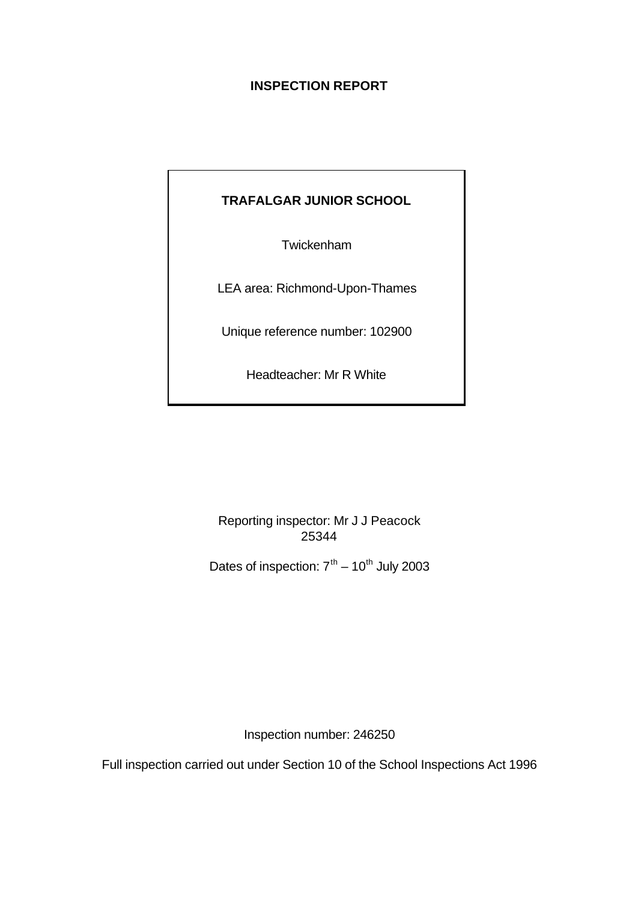# **INSPECTION REPORT**

# **TRAFALGAR JUNIOR SCHOOL**

Twickenham

LEA area: Richmond-Upon-Thames

Unique reference number: 102900

Headteacher: Mr R White

Reporting inspector: Mr J J Peacock 25344

Dates of inspection:  $7<sup>th</sup> - 10<sup>th</sup>$  July 2003

Inspection number: 246250

Full inspection carried out under Section 10 of the School Inspections Act 1996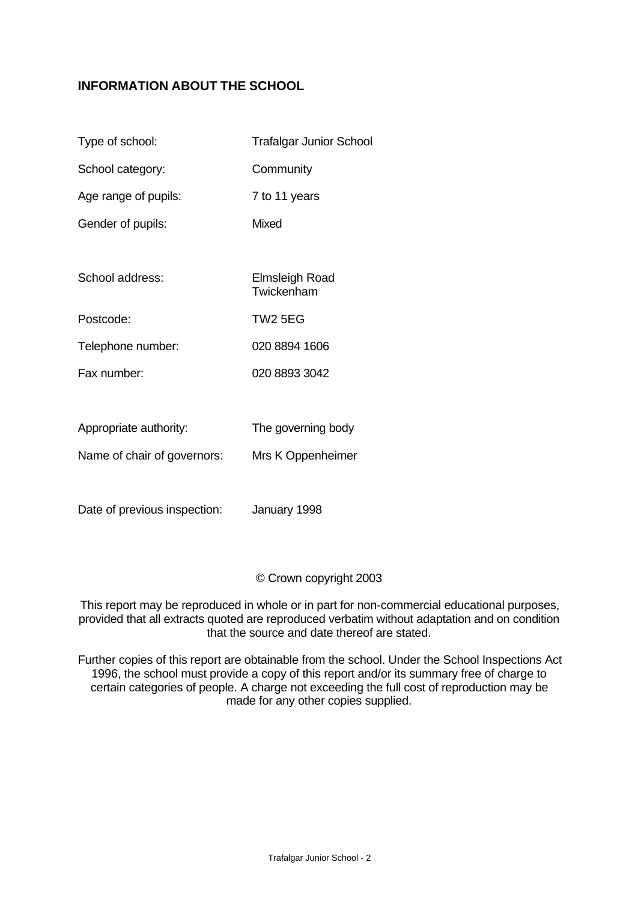# **INFORMATION ABOUT THE SCHOOL**

| Type of school:             | <b>Trafalgar Junior School</b>      |
|-----------------------------|-------------------------------------|
| School category:            | Community                           |
| Age range of pupils:        | 7 to 11 years                       |
| Gender of pupils:           | <b>Mixed</b>                        |
|                             |                                     |
| School address:             | <b>Elmsleigh Road</b><br>Twickenham |
| Postcode:                   | <b>TW2 5EG</b>                      |
| Telephone number:           | 020 8894 1606                       |
| Fax number:                 | 020 8893 3042                       |
|                             |                                     |
| Appropriate authority:      | The governing body                  |
| Name of chair of governors: | Mrs K Oppenheimer                   |

Date of previous inspection: January 1998

© Crown copyright 2003

This report may be reproduced in whole or in part for non-commercial educational purposes, provided that all extracts quoted are reproduced verbatim without adaptation and on condition that the source and date thereof are stated.

Further copies of this report are obtainable from the school. Under the School Inspections Act 1996, the school must provide a copy of this report and/or its summary free of charge to certain categories of people. A charge not exceeding the full cost of reproduction may be made for any other copies supplied.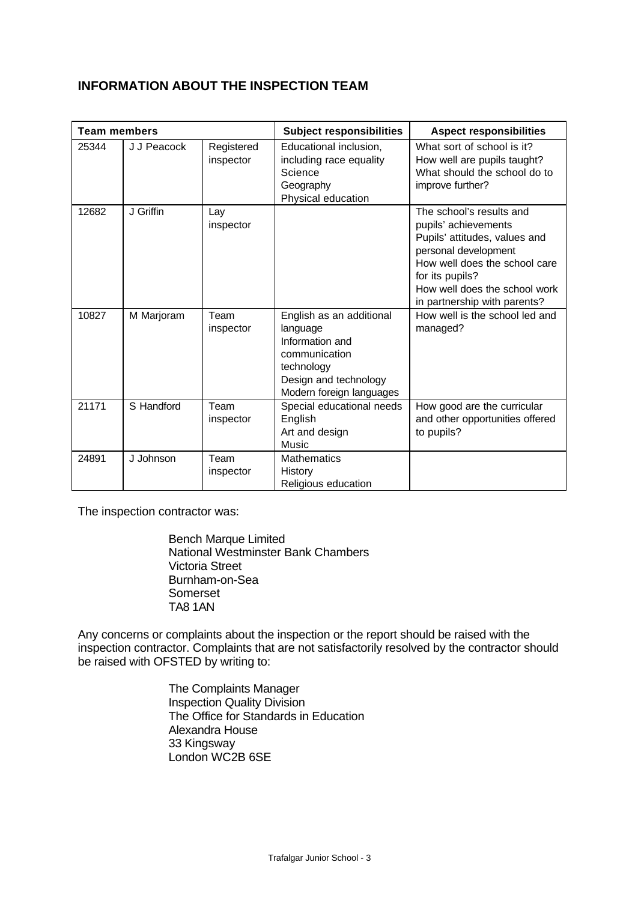# **INFORMATION ABOUT THE INSPECTION TEAM**

| <b>Team members</b> |             |                         | <b>Subject responsibilities</b>                                                                                                             | <b>Aspect responsibilities</b>                                                                                                                                                                                                 |
|---------------------|-------------|-------------------------|---------------------------------------------------------------------------------------------------------------------------------------------|--------------------------------------------------------------------------------------------------------------------------------------------------------------------------------------------------------------------------------|
| 25344               | J J Peacock | Registered<br>inspector | Educational inclusion,<br>including race equality<br>Science<br>Geography<br>Physical education                                             | What sort of school is it?<br>How well are pupils taught?<br>What should the school do to<br>improve further?                                                                                                                  |
| 12682               | J Griffin   | Lay<br>inspector        |                                                                                                                                             | The school's results and<br>pupils' achievements<br>Pupils' attitudes, values and<br>personal development<br>How well does the school care<br>for its pupils?<br>How well does the school work<br>in partnership with parents? |
| 10827               | M Marjoram  | Team<br>inspector       | English as an additional<br>language<br>Information and<br>communication<br>technology<br>Design and technology<br>Modern foreign languages | How well is the school led and<br>managed?                                                                                                                                                                                     |
| 21171               | S Handford  | Team<br>inspector       | Special educational needs<br>English<br>Art and design<br>Music                                                                             | How good are the curricular<br>and other opportunities offered<br>to pupils?                                                                                                                                                   |
| 24891               | J Johnson   | Team<br>inspector       | <b>Mathematics</b><br>History<br>Religious education                                                                                        |                                                                                                                                                                                                                                |

The inspection contractor was:

Bench Marque Limited National Westminster Bank Chambers Victoria Street Burnham-on-Sea Somerset TA8 1AN

Any concerns or complaints about the inspection or the report should be raised with the inspection contractor. Complaints that are not satisfactorily resolved by the contractor should be raised with OFSTED by writing to:

> The Complaints Manager Inspection Quality Division The Office for Standards in Education Alexandra House 33 Kingsway London WC2B 6SE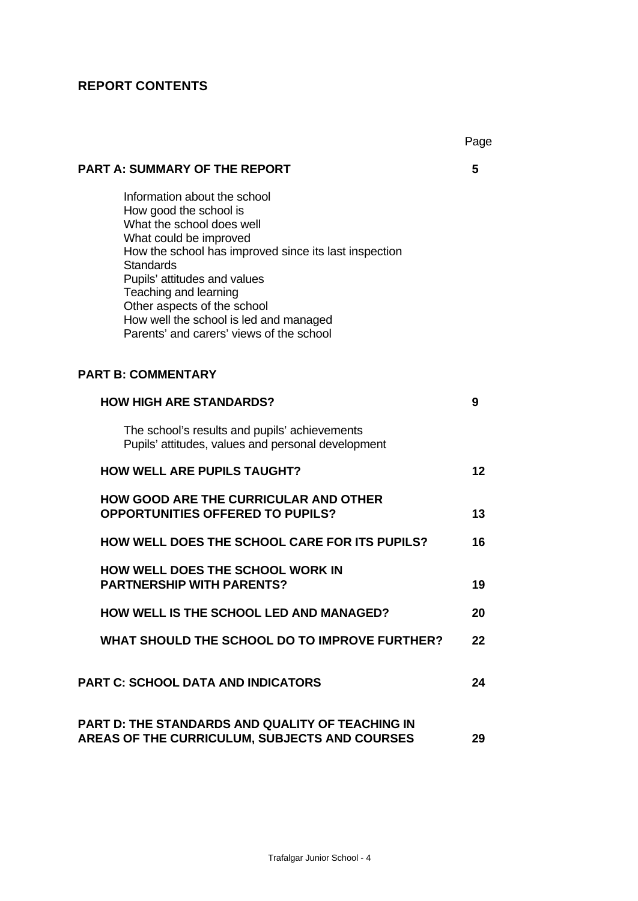# **REPORT CONTENTS**

|                                                                                                                                                                                                                                                                                                                                                                          | Page |
|--------------------------------------------------------------------------------------------------------------------------------------------------------------------------------------------------------------------------------------------------------------------------------------------------------------------------------------------------------------------------|------|
| <b>PART A: SUMMARY OF THE REPORT</b>                                                                                                                                                                                                                                                                                                                                     | 5    |
| Information about the school<br>How good the school is<br>What the school does well<br>What could be improved<br>How the school has improved since its last inspection<br><b>Standards</b><br>Pupils' attitudes and values<br>Teaching and learning<br>Other aspects of the school<br>How well the school is led and managed<br>Parents' and carers' views of the school |      |
| <b>PART B: COMMENTARY</b>                                                                                                                                                                                                                                                                                                                                                |      |
| <b>HOW HIGH ARE STANDARDS?</b>                                                                                                                                                                                                                                                                                                                                           | 9    |
| The school's results and pupils' achievements<br>Pupils' attitudes, values and personal development                                                                                                                                                                                                                                                                      |      |
| <b>HOW WELL ARE PUPILS TAUGHT?</b>                                                                                                                                                                                                                                                                                                                                       | 12   |
| <b>HOW GOOD ARE THE CURRICULAR AND OTHER</b><br><b>OPPORTUNITIES OFFERED TO PUPILS?</b>                                                                                                                                                                                                                                                                                  | 13   |
| <b>HOW WELL DOES THE SCHOOL CARE FOR ITS PUPILS?</b>                                                                                                                                                                                                                                                                                                                     | 16   |
| <b>HOW WELL DOES THE SCHOOL WORK IN</b><br><b>PARTNERSHIP WITH PARENTS?</b>                                                                                                                                                                                                                                                                                              | 19   |
| HOW WELL IS THE SCHOOL LED AND MANAGED?                                                                                                                                                                                                                                                                                                                                  | 20   |
| WHAT SHOULD THE SCHOOL DO TO IMPROVE FURTHER?                                                                                                                                                                                                                                                                                                                            | 22   |
| <b>PART C: SCHOOL DATA AND INDICATORS</b>                                                                                                                                                                                                                                                                                                                                | 24   |
| <b>PART D: THE STANDARDS AND QUALITY OF TEACHING IN</b><br>AREAS OF THE CURRICULUM, SUBJECTS AND COURSES                                                                                                                                                                                                                                                                 | 29   |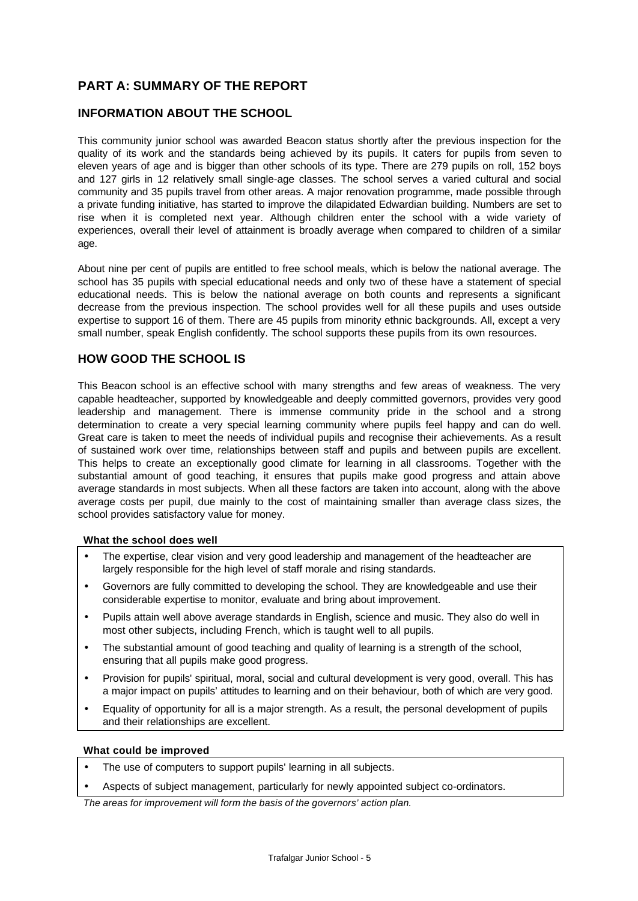# **PART A: SUMMARY OF THE REPORT**

## **INFORMATION ABOUT THE SCHOOL**

This community junior school was awarded Beacon status shortly after the previous inspection for the quality of its work and the standards being achieved by its pupils. It caters for pupils from seven to eleven years of age and is bigger than other schools of its type. There are 279 pupils on roll, 152 boys and 127 girls in 12 relatively small single-age classes. The school serves a varied cultural and social community and 35 pupils travel from other areas. A major renovation programme, made possible through a private funding initiative, has started to improve the dilapidated Edwardian building. Numbers are set to rise when it is completed next year. Although children enter the school with a wide variety of experiences, overall their level of attainment is broadly average when compared to children of a similar age.

About nine per cent of pupils are entitled to free school meals, which is below the national average. The school has 35 pupils with special educational needs and only two of these have a statement of special educational needs. This is below the national average on both counts and represents a significant decrease from the previous inspection. The school provides well for all these pupils and uses outside expertise to support 16 of them. There are 45 pupils from minority ethnic backgrounds. All, except a very small number, speak English confidently. The school supports these pupils from its own resources.

## **HOW GOOD THE SCHOOL IS**

This Beacon school is an effective school with many strengths and few areas of weakness. The very capable headteacher, supported by knowledgeable and deeply committed governors, provides very good leadership and management. There is immense community pride in the school and a strong determination to create a very special learning community where pupils feel happy and can do well. Great care is taken to meet the needs of individual pupils and recognise their achievements. As a result of sustained work over time, relationships between staff and pupils and between pupils are excellent. This helps to create an exceptionally good climate for learning in all classrooms. Together with the substantial amount of good teaching, it ensures that pupils make good progress and attain above average standards in most subjects. When all these factors are taken into account, along with the above average costs per pupil, due mainly to the cost of maintaining smaller than average class sizes, the school provides satisfactory value for money.

#### **What the school does well**

- The expertise, clear vision and very good leadership and management of the headteacher are largely responsible for the high level of staff morale and rising standards.
- Governors are fully committed to developing the school. They are knowledgeable and use their considerable expertise to monitor, evaluate and bring about improvement.
- Pupils attain well above average standards in English, science and music. They also do well in most other subjects, including French, which is taught well to all pupils.
- The substantial amount of good teaching and quality of learning is a strength of the school, ensuring that all pupils make good progress.
- Provision for pupils' spiritual, moral, social and cultural development is very good, overall. This has a major impact on pupils' attitudes to learning and on their behaviour, both of which are very good.
- Equality of opportunity for all is a major strength. As a result, the personal development of pupils and their relationships are excellent.

#### **What could be improved**

- The use of computers to support pupils' learning in all subjects.
- Aspects of subject management, particularly for newly appointed subject co-ordinators.

*The areas for improvement will form the basis of the governors' action plan.*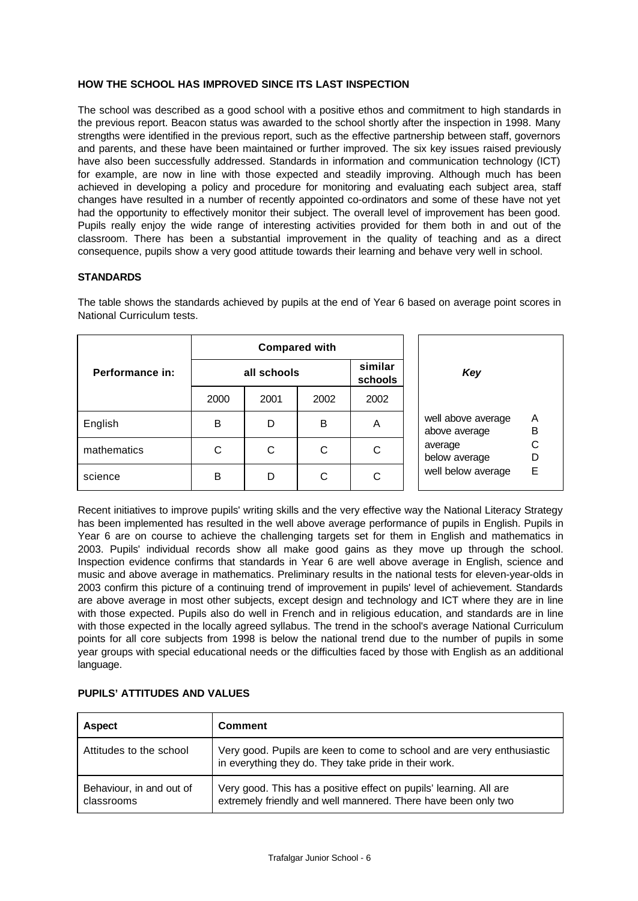#### **HOW THE SCHOOL HAS IMPROVED SINCE ITS LAST INSPECTION**

The school was described as a good school with a positive ethos and commitment to high standards in the previous report. Beacon status was awarded to the school shortly after the inspection in 1998. Many strengths were identified in the previous report, such as the effective partnership between staff, governors and parents, and these have been maintained or further improved. The six key issues raised previously have also been successfully addressed. Standards in information and communication technology (ICT) for example, are now in line with those expected and steadily improving. Although much has been achieved in developing a policy and procedure for monitoring and evaluating each subject area, staff changes have resulted in a number of recently appointed co-ordinators and some of these have not yet had the opportunity to effectively monitor their subject. The overall level of improvement has been good. Pupils really enjoy the wide range of interesting activities provided for them both in and out of the classroom. There has been a substantial improvement in the quality of teaching and as a direct consequence, pupils show a very good attitude towards their learning and behave very well in school.

#### **STANDARDS**

|                 | <b>Compared with</b> |      |      |                    |                                               |
|-----------------|----------------------|------|------|--------------------|-----------------------------------------------|
| Performance in: | all schools          |      |      | similar<br>schools | Key                                           |
|                 | 2000                 | 2001 | 2002 | 2002               |                                               |
| English         | B                    | D    | B    | A                  | Α<br>well above average<br>B<br>above average |
| mathematics     | С                    | С    | С    | С                  | С<br>average<br>below average                 |
| science         | B                    | D    | С    | C                  | Е<br>well below average                       |

The table shows the standards achieved by pupils at the end of Year 6 based on average point scores in National Curriculum tests.

Recent initiatives to improve pupils' writing skills and the very effective way the National Literacy Strategy has been implemented has resulted in the well above average performance of pupils in English. Pupils in Year 6 are on course to achieve the challenging targets set for them in English and mathematics in 2003. Pupils' individual records show all make good gains as they move up through the school. Inspection evidence confirms that standards in Year 6 are well above average in English, science and music and above average in mathematics. Preliminary results in the national tests for eleven-year-olds in 2003 confirm this picture of a continuing trend of improvement in pupils' level of achievement. Standards are above average in most other subjects, except design and technology and ICT where they are in line with those expected. Pupils also do well in French and in religious education, and standards are in line with those expected in the locally agreed syllabus. The trend in the school's average National Curriculum points for all core subjects from 1998 is below the national trend due to the number of pupils in some year groups with special educational needs or the difficulties faced by those with English as an additional language.

| <b>Aspect</b>                          | <b>Comment</b>                                                                                                                       |
|----------------------------------------|--------------------------------------------------------------------------------------------------------------------------------------|
| Attitudes to the school                | Very good. Pupils are keen to come to school and are very enthusiastic<br>in everything they do. They take pride in their work.      |
| Behaviour, in and out of<br>classrooms | Very good. This has a positive effect on pupils' learning. All are<br>extremely friendly and well mannered. There have been only two |

#### **PUPILS' ATTITUDES AND VALUES**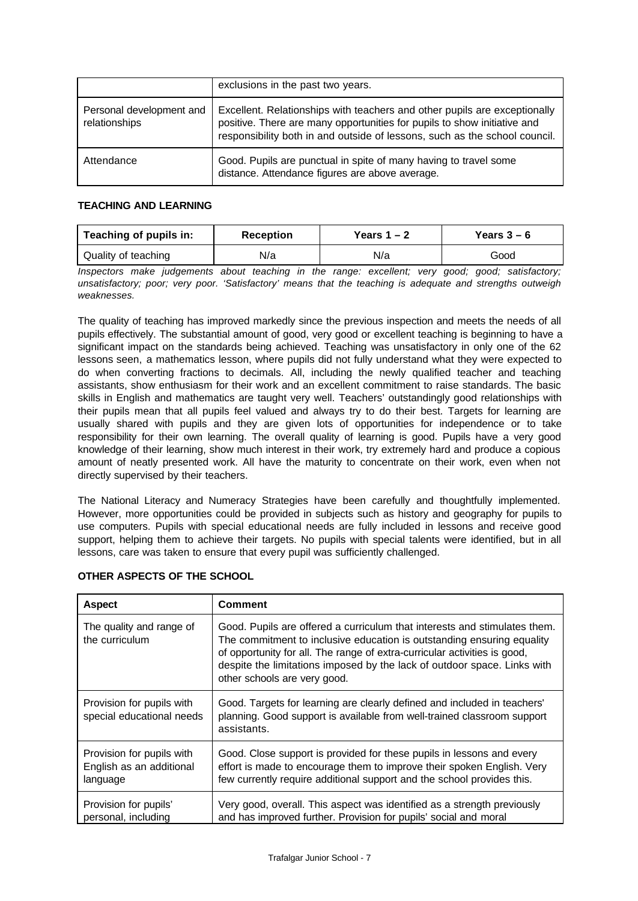|                                           | exclusions in the past two years.                                                                                                                                                                                                   |
|-------------------------------------------|-------------------------------------------------------------------------------------------------------------------------------------------------------------------------------------------------------------------------------------|
| Personal development and<br>relationships | Excellent. Relationships with teachers and other pupils are exceptionally<br>positive. There are many opportunities for pupils to show initiative and<br>responsibility both in and outside of lessons, such as the school council. |
| Attendance                                | Good. Pupils are punctual in spite of many having to travel some<br>distance. Attendance figures are above average.                                                                                                                 |

#### **TEACHING AND LEARNING**

| Teaching of pupils in: | <b>Reception</b> | Years $1 - 2$ | Years $3-6$ |
|------------------------|------------------|---------------|-------------|
| Quality of teaching    | N/a              | N/a           | Good        |

*Inspectors make judgements about teaching in the range: excellent; very good; good; satisfactory; unsatisfactory; poor; very poor. 'Satisfactory' means that the teaching is adequate and strengths outweigh weaknesses.*

The quality of teaching has improved markedly since the previous inspection and meets the needs of all pupils effectively. The substantial amount of good, very good or excellent teaching is beginning to have a significant impact on the standards being achieved. Teaching was unsatisfactory in only one of the 62 lessons seen, a mathematics lesson, where pupils did not fully understand what they were expected to do when converting fractions to decimals. All, including the newly qualified teacher and teaching assistants, show enthusiasm for their work and an excellent commitment to raise standards. The basic skills in English and mathematics are taught very well. Teachers' outstandingly good relationships with their pupils mean that all pupils feel valued and always try to do their best. Targets for learning are usually shared with pupils and they are given lots of opportunities for independence or to take responsibility for their own learning. The overall quality of learning is good. Pupils have a very good knowledge of their learning, show much interest in their work, try extremely hard and produce a copious amount of neatly presented work. All have the maturity to concentrate on their work, even when not directly supervised by their teachers.

The National Literacy and Numeracy Strategies have been carefully and thoughtfully implemented. However, more opportunities could be provided in subjects such as history and geography for pupils to use computers. Pupils with special educational needs are fully included in lessons and receive good support, helping them to achieve their targets. No pupils with special talents were identified, but in all lessons, care was taken to ensure that every pupil was sufficiently challenged.

| <b>Aspect</b>                                                     | <b>Comment</b>                                                                                                                                                                                                                                                                                                                               |
|-------------------------------------------------------------------|----------------------------------------------------------------------------------------------------------------------------------------------------------------------------------------------------------------------------------------------------------------------------------------------------------------------------------------------|
| The quality and range of<br>the curriculum                        | Good. Pupils are offered a curriculum that interests and stimulates them.<br>The commitment to inclusive education is outstanding ensuring equality<br>of opportunity for all. The range of extra-curricular activities is good,<br>despite the limitations imposed by the lack of outdoor space. Links with<br>other schools are very good. |
| Provision for pupils with<br>special educational needs            | Good. Targets for learning are clearly defined and included in teachers'<br>planning. Good support is available from well-trained classroom support<br>assistants.                                                                                                                                                                           |
| Provision for pupils with<br>English as an additional<br>language | Good. Close support is provided for these pupils in lessons and every<br>effort is made to encourage them to improve their spoken English. Very<br>few currently require additional support and the school provides this.                                                                                                                    |
| Provision for pupils'<br>personal, including                      | Very good, overall. This aspect was identified as a strength previously<br>and has improved further. Provision for pupils' social and moral                                                                                                                                                                                                  |

## **OTHER ASPECTS OF THE SCHOOL**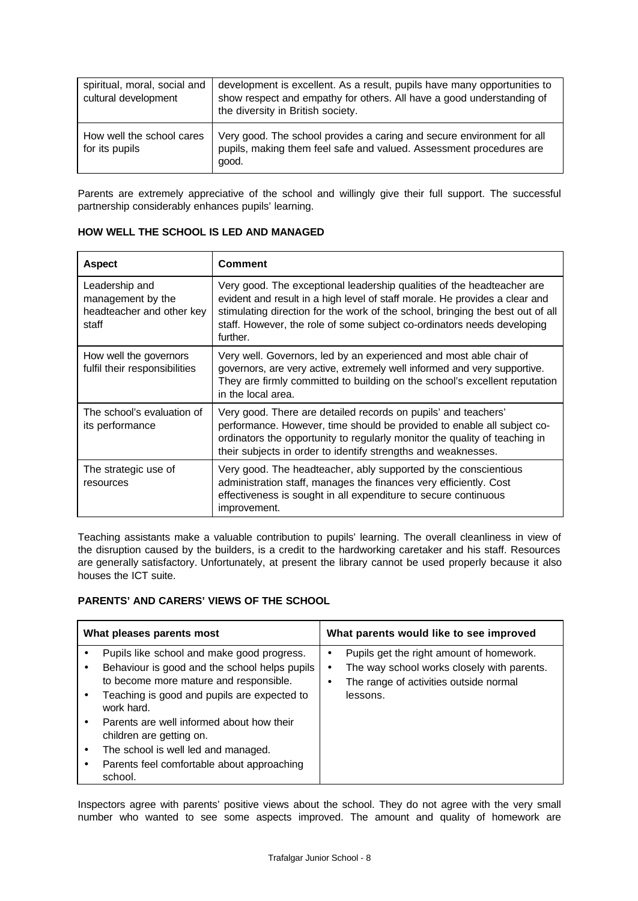| spiritual, moral, social and<br>cultural development | development is excellent. As a result, pupils have many opportunities to<br>show respect and empathy for others. All have a good understanding of<br>the diversity in British society. |
|------------------------------------------------------|----------------------------------------------------------------------------------------------------------------------------------------------------------------------------------------|
| How well the school cares<br>for its pupils          | Very good. The school provides a caring and secure environment for all<br>pupils, making them feel safe and valued. Assessment procedures are<br>good.                                 |

Parents are extremely appreciative of the school and willingly give their full support. The successful partnership considerably enhances pupils' learning.

| <b>Aspect</b>                                                             | <b>Comment</b>                                                                                                                                                                                                                                                                                                                 |  |
|---------------------------------------------------------------------------|--------------------------------------------------------------------------------------------------------------------------------------------------------------------------------------------------------------------------------------------------------------------------------------------------------------------------------|--|
| Leadership and<br>management by the<br>headteacher and other key<br>staff | Very good. The exceptional leadership qualities of the headteacher are<br>evident and result in a high level of staff morale. He provides a clear and<br>stimulating direction for the work of the school, bringing the best out of all<br>staff. However, the role of some subject co-ordinators needs developing<br>further. |  |
| How well the governors<br>fulfil their responsibilities                   | Very well. Governors, led by an experienced and most able chair of<br>governors, are very active, extremely well informed and very supportive.<br>They are firmly committed to building on the school's excellent reputation<br>in the local area.                                                                             |  |
| The school's evaluation of<br>its performance                             | Very good. There are detailed records on pupils' and teachers'<br>performance. However, time should be provided to enable all subject co-<br>ordinators the opportunity to regularly monitor the quality of teaching in<br>their subjects in order to identify strengths and weaknesses.                                       |  |
| The strategic use of<br>resources                                         | Very good. The headteacher, ably supported by the conscientious<br>administration staff, manages the finances very efficiently. Cost<br>effectiveness is sought in all expenditure to secure continuous<br>improvement.                                                                                                        |  |

**HOW WELL THE SCHOOL IS LED AND MANAGED**

Teaching assistants make a valuable contribution to pupils' learning. The overall cleanliness in view of the disruption caused by the builders, is a credit to the hardworking caretaker and his staff. Resources are generally satisfactory. Unfortunately, at present the library cannot be used properly because it also houses the ICT suite.

## **PARENTS' AND CARERS' VIEWS OF THE SCHOOL**

| What pleases parents most |                                                                                                                                                                                                                                                                                                                                                                             | What parents would like to see improved                                                                                                           |  |
|---------------------------|-----------------------------------------------------------------------------------------------------------------------------------------------------------------------------------------------------------------------------------------------------------------------------------------------------------------------------------------------------------------------------|---------------------------------------------------------------------------------------------------------------------------------------------------|--|
|                           | Pupils like school and make good progress.<br>Behaviour is good and the school helps pupils<br>to become more mature and responsible.<br>Teaching is good and pupils are expected to<br>work hard.<br>Parents are well informed about how their<br>children are getting on.<br>The school is well led and managed.<br>Parents feel comfortable about approaching<br>school. | Pupils get the right amount of homework.<br>٠<br>The way school works closely with parents.<br>The range of activities outside normal<br>lessons. |  |

Inspectors agree with parents' positive views about the school. They do not agree with the very small number who wanted to see some aspects improved. The amount and quality of homework are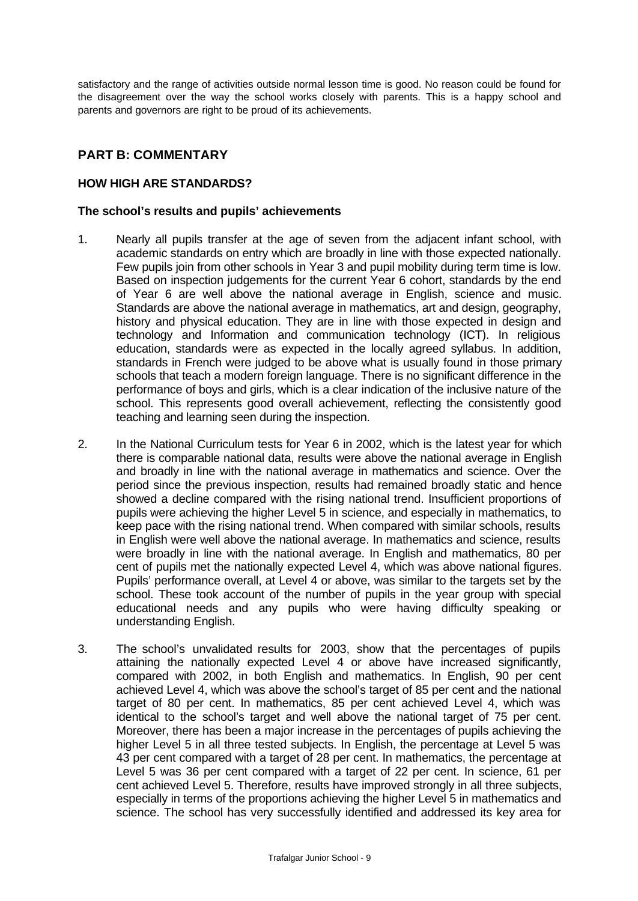satisfactory and the range of activities outside normal lesson time is good. No reason could be found for the disagreement over the way the school works closely with parents. This is a happy school and parents and governors are right to be proud of its achievements.

# **PART B: COMMENTARY**

## **HOW HIGH ARE STANDARDS?**

#### **The school's results and pupils' achievements**

- 1. Nearly all pupils transfer at the age of seven from the adjacent infant school, with academic standards on entry which are broadly in line with those expected nationally. Few pupils join from other schools in Year 3 and pupil mobility during term time is low. Based on inspection judgements for the current Year 6 cohort, standards by the end of Year 6 are well above the national average in English, science and music. Standards are above the national average in mathematics, art and design, geography, history and physical education. They are in line with those expected in design and technology and Information and communication technology (ICT). In religious education, standards were as expected in the locally agreed syllabus. In addition, standards in French were judged to be above what is usually found in those primary schools that teach a modern foreign language. There is no significant difference in the performance of boys and girls, which is a clear indication of the inclusive nature of the school. This represents good overall achievement, reflecting the consistently good teaching and learning seen during the inspection.
- 2. In the National Curriculum tests for Year 6 in 2002, which is the latest year for which there is comparable national data, results were above the national average in English and broadly in line with the national average in mathematics and science. Over the period since the previous inspection, results had remained broadly static and hence showed a decline compared with the rising national trend. Insufficient proportions of pupils were achieving the higher Level 5 in science, and especially in mathematics, to keep pace with the rising national trend. When compared with similar schools, results in English were well above the national average. In mathematics and science, results were broadly in line with the national average. In English and mathematics, 80 per cent of pupils met the nationally expected Level 4, which was above national figures. Pupils' performance overall, at Level 4 or above, was similar to the targets set by the school. These took account of the number of pupils in the year group with special educational needs and any pupils who were having difficulty speaking or understanding English.
- 3. The school's unvalidated results for 2003, show that the percentages of pupils attaining the nationally expected Level 4 or above have increased significantly, compared with 2002, in both English and mathematics. In English, 90 per cent achieved Level 4, which was above the school's target of 85 per cent and the national target of 80 per cent. In mathematics, 85 per cent achieved Level 4, which was identical to the school's target and well above the national target of 75 per cent. Moreover, there has been a major increase in the percentages of pupils achieving the higher Level 5 in all three tested subjects. In English, the percentage at Level 5 was 43 per cent compared with a target of 28 per cent. In mathematics, the percentage at Level 5 was 36 per cent compared with a target of 22 per cent. In science, 61 per cent achieved Level 5. Therefore, results have improved strongly in all three subjects, especially in terms of the proportions achieving the higher Level 5 in mathematics and science. The school has very successfully identified and addressed its key area for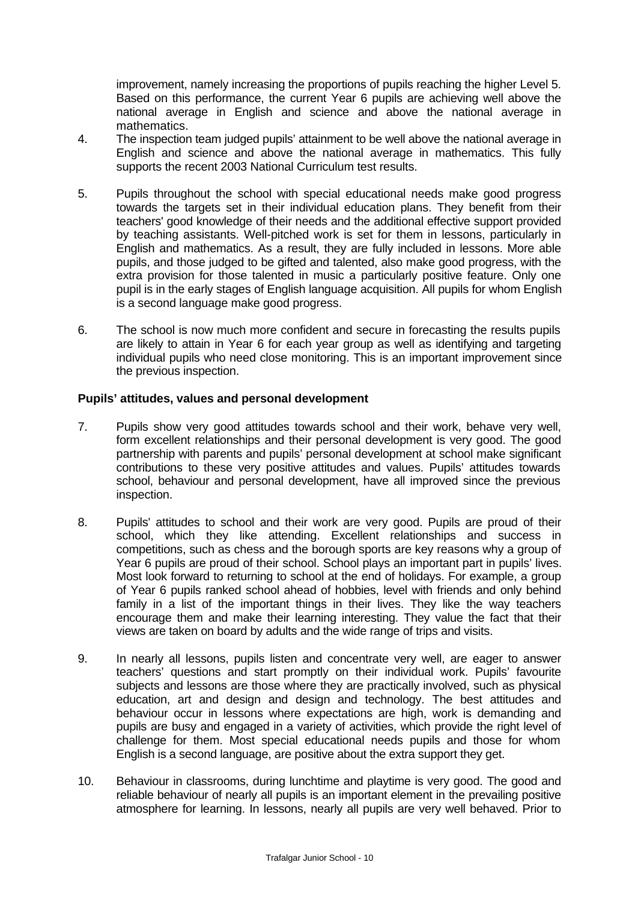improvement, namely increasing the proportions of pupils reaching the higher Level 5. Based on this performance, the current Year 6 pupils are achieving well above the national average in English and science and above the national average in mathematics.

- 4. The inspection team judged pupils' attainment to be well above the national average in English and science and above the national average in mathematics. This fully supports the recent 2003 National Curriculum test results.
- 5. Pupils throughout the school with special educational needs make good progress towards the targets set in their individual education plans. They benefit from their teachers' good knowledge of their needs and the additional effective support provided by teaching assistants. Well-pitched work is set for them in lessons, particularly in English and mathematics. As a result, they are fully included in lessons. More able pupils, and those judged to be gifted and talented, also make good progress, with the extra provision for those talented in music a particularly positive feature. Only one pupil is in the early stages of English language acquisition. All pupils for whom English is a second language make good progress.
- 6. The school is now much more confident and secure in forecasting the results pupils are likely to attain in Year 6 for each year group as well as identifying and targeting individual pupils who need close monitoring. This is an important improvement since the previous inspection.

#### **Pupils' attitudes, values and personal development**

- 7. Pupils show very good attitudes towards school and their work, behave very well, form excellent relationships and their personal development is very good. The good partnership with parents and pupils' personal development at school make significant contributions to these very positive attitudes and values. Pupils' attitudes towards school, behaviour and personal development, have all improved since the previous inspection.
- 8. Pupils' attitudes to school and their work are very good. Pupils are proud of their school, which they like attending. Excellent relationships and success in competitions, such as chess and the borough sports are key reasons why a group of Year 6 pupils are proud of their school. School plays an important part in pupils' lives. Most look forward to returning to school at the end of holidays. For example, a group of Year 6 pupils ranked school ahead of hobbies, level with friends and only behind family in a list of the important things in their lives. They like the way teachers encourage them and make their learning interesting. They value the fact that their views are taken on board by adults and the wide range of trips and visits.
- 9. In nearly all lessons, pupils listen and concentrate very well, are eager to answer teachers' questions and start promptly on their individual work. Pupils' favourite subjects and lessons are those where they are practically involved, such as physical education, art and design and design and technology. The best attitudes and behaviour occur in lessons where expectations are high, work is demanding and pupils are busy and engaged in a variety of activities, which provide the right level of challenge for them. Most special educational needs pupils and those for whom English is a second language, are positive about the extra support they get.
- 10. Behaviour in classrooms, during lunchtime and playtime is very good. The good and reliable behaviour of nearly all pupils is an important element in the prevailing positive atmosphere for learning. In lessons, nearly all pupils are very well behaved. Prior to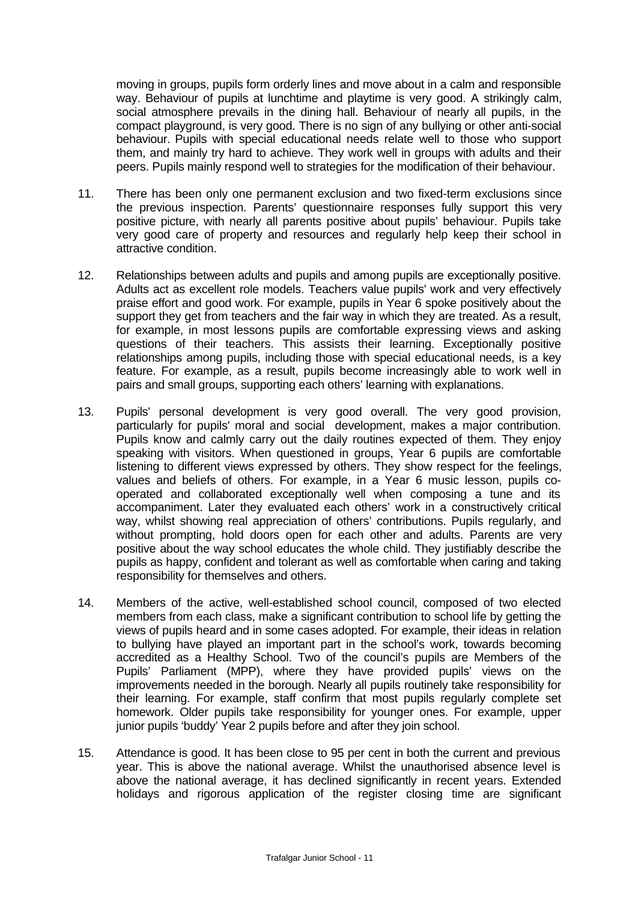moving in groups, pupils form orderly lines and move about in a calm and responsible way. Behaviour of pupils at lunchtime and playtime is very good. A strikingly calm, social atmosphere prevails in the dining hall. Behaviour of nearly all pupils, in the compact playground, is very good. There is no sign of any bullying or other anti-social behaviour. Pupils with special educational needs relate well to those who support them, and mainly try hard to achieve. They work well in groups with adults and their peers. Pupils mainly respond well to strategies for the modification of their behaviour.

- 11. There has been only one permanent exclusion and two fixed-term exclusions since the previous inspection. Parents' questionnaire responses fully support this very positive picture, with nearly all parents positive about pupils' behaviour. Pupils take very good care of property and resources and regularly help keep their school in attractive condition.
- 12. Relationships between adults and pupils and among pupils are exceptionally positive. Adults act as excellent role models. Teachers value pupils' work and very effectively praise effort and good work. For example, pupils in Year 6 spoke positively about the support they get from teachers and the fair way in which they are treated. As a result, for example, in most lessons pupils are comfortable expressing views and asking questions of their teachers. This assists their learning. Exceptionally positive relationships among pupils, including those with special educational needs, is a key feature. For example, as a result, pupils become increasingly able to work well in pairs and small groups, supporting each others' learning with explanations.
- 13. Pupils' personal development is very good overall. The very good provision, particularly for pupils' moral and social development, makes a major contribution. Pupils know and calmly carry out the daily routines expected of them. They enjoy speaking with visitors. When questioned in groups, Year 6 pupils are comfortable listening to different views expressed by others. They show respect for the feelings, values and beliefs of others. For example, in a Year 6 music lesson, pupils cooperated and collaborated exceptionally well when composing a tune and its accompaniment. Later they evaluated each others' work in a constructively critical way, whilst showing real appreciation of others' contributions. Pupils regularly, and without prompting, hold doors open for each other and adults. Parents are very positive about the way school educates the whole child. They justifiably describe the pupils as happy, confident and tolerant as well as comfortable when caring and taking responsibility for themselves and others.
- 14. Members of the active, well-established school council, composed of two elected members from each class, make a significant contribution to school life by getting the views of pupils heard and in some cases adopted. For example, their ideas in relation to bullying have played an important part in the school's work, towards becoming accredited as a Healthy School. Two of the council's pupils are Members of the Pupils' Parliament (MPP), where they have provided pupils' views on the improvements needed in the borough. Nearly all pupils routinely take responsibility for their learning. For example, staff confirm that most pupils regularly complete set homework. Older pupils take responsibility for younger ones. For example, upper junior pupils 'buddy' Year 2 pupils before and after they join school.
- 15. Attendance is good. It has been close to 95 per cent in both the current and previous year. This is above the national average. Whilst the unauthorised absence level is above the national average, it has declined significantly in recent years. Extended holidays and rigorous application of the register closing time are significant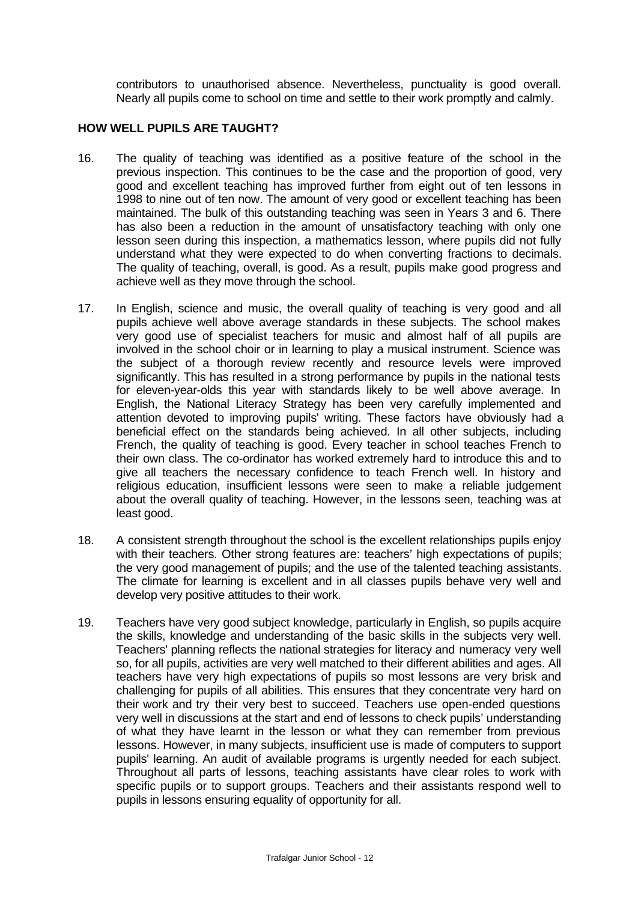contributors to unauthorised absence. Nevertheless, punctuality is good overall. Nearly all pupils come to school on time and settle to their work promptly and calmly.

## **HOW WELL PUPILS ARE TAUGHT?**

- 16. The quality of teaching was identified as a positive feature of the school in the previous inspection. This continues to be the case and the proportion of good, very good and excellent teaching has improved further from eight out of ten lessons in 1998 to nine out of ten now. The amount of very good or excellent teaching has been maintained. The bulk of this outstanding teaching was seen in Years 3 and 6. There has also been a reduction in the amount of unsatisfactory teaching with only one lesson seen during this inspection, a mathematics lesson, where pupils did not fully understand what they were expected to do when converting fractions to decimals. The quality of teaching, overall, is good. As a result, pupils make good progress and achieve well as they move through the school.
- 17. In English, science and music, the overall quality of teaching is very good and all pupils achieve well above average standards in these subjects. The school makes very good use of specialist teachers for music and almost half of all pupils are involved in the school choir or in learning to play a musical instrument. Science was the subject of a thorough review recently and resource levels were improved significantly. This has resulted in a strong performance by pupils in the national tests for eleven-year-olds this year with standards likely to be well above average. In English, the National Literacy Strategy has been very carefully implemented and attention devoted to improving pupils' writing. These factors have obviously had a beneficial effect on the standards being achieved. In all other subjects, including French, the quality of teaching is good. Every teacher in school teaches French to their own class. The co-ordinator has worked extremely hard to introduce this and to give all teachers the necessary confidence to teach French well. In history and religious education, insufficient lessons were seen to make a reliable judgement about the overall quality of teaching. However, in the lessons seen, teaching was at least good.
- 18. A consistent strength throughout the school is the excellent relationships pupils enjoy with their teachers. Other strong features are: teachers' high expectations of pupils; the very good management of pupils; and the use of the talented teaching assistants. The climate for learning is excellent and in all classes pupils behave very well and develop very positive attitudes to their work.
- 19. Teachers have very good subject knowledge, particularly in English, so pupils acquire the skills, knowledge and understanding of the basic skills in the subjects very well. Teachers' planning reflects the national strategies for literacy and numeracy very well so, for all pupils, activities are very well matched to their different abilities and ages. All teachers have very high expectations of pupils so most lessons are very brisk and challenging for pupils of all abilities. This ensures that they concentrate very hard on their work and try their very best to succeed. Teachers use open-ended questions very well in discussions at the start and end of lessons to check pupils' understanding of what they have learnt in the lesson or what they can remember from previous lessons. However, in many subjects, insufficient use is made of computers to support pupils' learning. An audit of available programs is urgently needed for each subject. Throughout all parts of lessons, teaching assistants have clear roles to work with specific pupils or to support groups. Teachers and their assistants respond well to pupils in lessons ensuring equality of opportunity for all.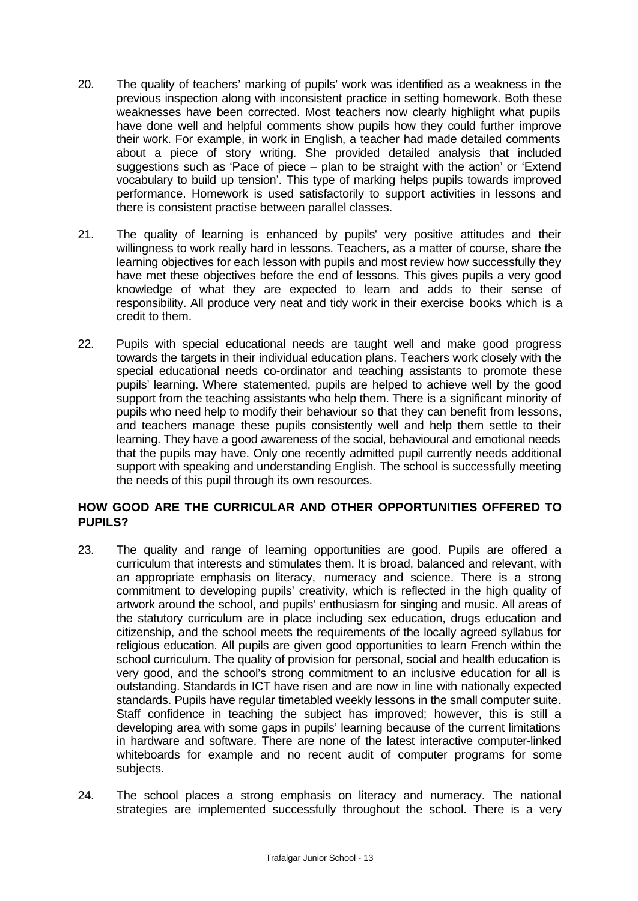- 20. The quality of teachers' marking of pupils' work was identified as a weakness in the previous inspection along with inconsistent practice in setting homework. Both these weaknesses have been corrected. Most teachers now clearly highlight what pupils have done well and helpful comments show pupils how they could further improve their work. For example, in work in English, a teacher had made detailed comments about a piece of story writing. She provided detailed analysis that included suggestions such as 'Pace of piece – plan to be straight with the action' or 'Extend vocabulary to build up tension'. This type of marking helps pupils towards improved performance. Homework is used satisfactorily to support activities in lessons and there is consistent practise between parallel classes.
- 21. The quality of learning is enhanced by pupils' very positive attitudes and their willingness to work really hard in lessons. Teachers, as a matter of course, share the learning objectives for each lesson with pupils and most review how successfully they have met these objectives before the end of lessons. This gives pupils a very good knowledge of what they are expected to learn and adds to their sense of responsibility. All produce very neat and tidy work in their exercise books which is a credit to them.
- 22. Pupils with special educational needs are taught well and make good progress towards the targets in their individual education plans. Teachers work closely with the special educational needs co-ordinator and teaching assistants to promote these pupils' learning. Where statemented, pupils are helped to achieve well by the good support from the teaching assistants who help them. There is a significant minority of pupils who need help to modify their behaviour so that they can benefit from lessons, and teachers manage these pupils consistently well and help them settle to their learning. They have a good awareness of the social, behavioural and emotional needs that the pupils may have. Only one recently admitted pupil currently needs additional support with speaking and understanding English. The school is successfully meeting the needs of this pupil through its own resources.

## **HOW GOOD ARE THE CURRICULAR AND OTHER OPPORTUNITIES OFFERED TO PUPILS?**

- 23. The quality and range of learning opportunities are good. Pupils are offered a curriculum that interests and stimulates them. It is broad, balanced and relevant, with an appropriate emphasis on literacy, numeracy and science. There is a strong commitment to developing pupils' creativity, which is reflected in the high quality of artwork around the school, and pupils' enthusiasm for singing and music. All areas of the statutory curriculum are in place including sex education, drugs education and citizenship, and the school meets the requirements of the locally agreed syllabus for religious education. All pupils are given good opportunities to learn French within the school curriculum. The quality of provision for personal, social and health education is very good, and the school's strong commitment to an inclusive education for all is outstanding. Standards in ICT have risen and are now in line with nationally expected standards. Pupils have regular timetabled weekly lessons in the small computer suite. Staff confidence in teaching the subject has improved; however, this is still a developing area with some gaps in pupils' learning because of the current limitations in hardware and software. There are none of the latest interactive computer-linked whiteboards for example and no recent audit of computer programs for some subjects.
- 24. The school places a strong emphasis on literacy and numeracy. The national strategies are implemented successfully throughout the school. There is a very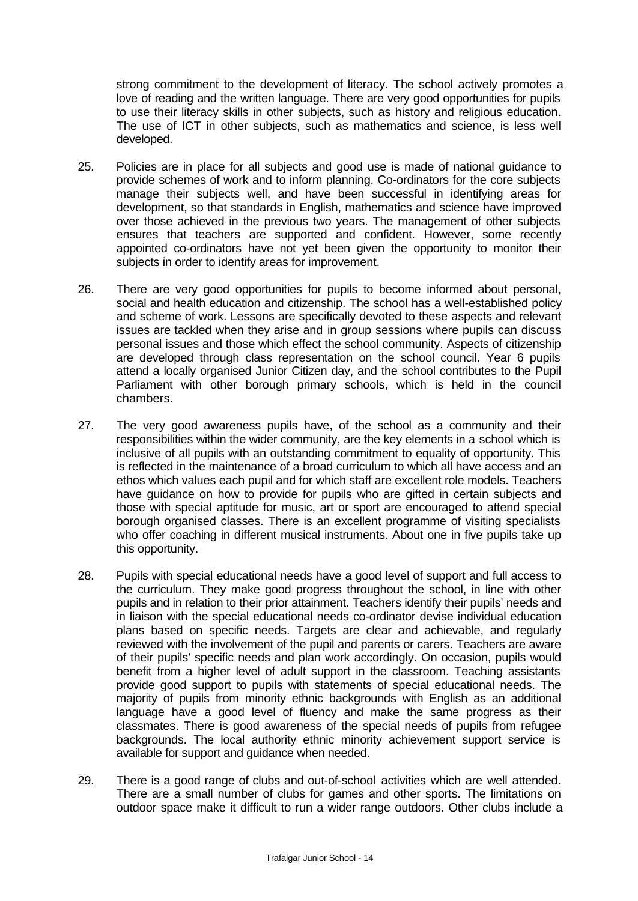strong commitment to the development of literacy. The school actively promotes a love of reading and the written language. There are very good opportunities for pupils to use their literacy skills in other subjects, such as history and religious education. The use of ICT in other subjects, such as mathematics and science, is less well developed.

- 25. Policies are in place for all subjects and good use is made of national guidance to provide schemes of work and to inform planning. Co-ordinators for the core subjects manage their subjects well, and have been successful in identifying areas for development, so that standards in English, mathematics and science have improved over those achieved in the previous two years. The management of other subjects ensures that teachers are supported and confident. However, some recently appointed co-ordinators have not yet been given the opportunity to monitor their subjects in order to identify areas for improvement.
- 26. There are very good opportunities for pupils to become informed about personal, social and health education and citizenship. The school has a well-established policy and scheme of work. Lessons are specifically devoted to these aspects and relevant issues are tackled when they arise and in group sessions where pupils can discuss personal issues and those which effect the school community. Aspects of citizenship are developed through class representation on the school council. Year 6 pupils attend a locally organised Junior Citizen day, and the school contributes to the Pupil Parliament with other borough primary schools, which is held in the council chambers.
- 27. The very good awareness pupils have, of the school as a community and their responsibilities within the wider community, are the key elements in a school which is inclusive of all pupils with an outstanding commitment to equality of opportunity. This is reflected in the maintenance of a broad curriculum to which all have access and an ethos which values each pupil and for which staff are excellent role models. Teachers have guidance on how to provide for pupils who are gifted in certain subjects and those with special aptitude for music, art or sport are encouraged to attend special borough organised classes. There is an excellent programme of visiting specialists who offer coaching in different musical instruments. About one in five pupils take up this opportunity.
- 28. Pupils with special educational needs have a good level of support and full access to the curriculum. They make good progress throughout the school, in line with other pupils and in relation to their prior attainment. Teachers identify their pupils' needs and in liaison with the special educational needs co-ordinator devise individual education plans based on specific needs. Targets are clear and achievable, and regularly reviewed with the involvement of the pupil and parents or carers. Teachers are aware of their pupils' specific needs and plan work accordingly. On occasion, pupils would benefit from a higher level of adult support in the classroom. Teaching assistants provide good support to pupils with statements of special educational needs. The majority of pupils from minority ethnic backgrounds with English as an additional language have a good level of fluency and make the same progress as their classmates. There is good awareness of the special needs of pupils from refugee backgrounds. The local authority ethnic minority achievement support service is available for support and guidance when needed.
- 29. There is a good range of clubs and out-of-school activities which are well attended. There are a small number of clubs for games and other sports. The limitations on outdoor space make it difficult to run a wider range outdoors. Other clubs include a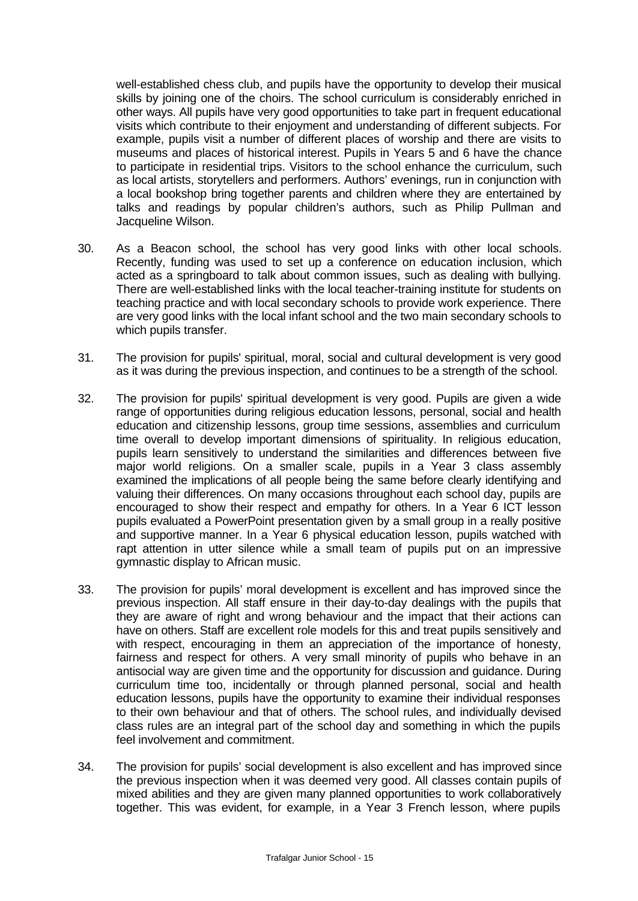well-established chess club, and pupils have the opportunity to develop their musical skills by joining one of the choirs. The school curriculum is considerably enriched in other ways. All pupils have very good opportunities to take part in frequent educational visits which contribute to their enjoyment and understanding of different subjects. For example, pupils visit a number of different places of worship and there are visits to museums and places of historical interest. Pupils in Years 5 and 6 have the chance to participate in residential trips. Visitors to the school enhance the curriculum, such as local artists, storytellers and performers. Authors' evenings, run in conjunction with a local bookshop bring together parents and children where they are entertained by talks and readings by popular children's authors, such as Philip Pullman and Jacqueline Wilson.

- 30. As a Beacon school, the school has very good links with other local schools. Recently, funding was used to set up a conference on education inclusion, which acted as a springboard to talk about common issues, such as dealing with bullying. There are well-established links with the local teacher-training institute for students on teaching practice and with local secondary schools to provide work experience. There are very good links with the local infant school and the two main secondary schools to which pupils transfer.
- 31. The provision for pupils' spiritual, moral, social and cultural development is very good as it was during the previous inspection, and continues to be a strength of the school.
- 32. The provision for pupils' spiritual development is very good. Pupils are given a wide range of opportunities during religious education lessons, personal, social and health education and citizenship lessons, group time sessions, assemblies and curriculum time overall to develop important dimensions of spirituality. In religious education, pupils learn sensitively to understand the similarities and differences between five major world religions. On a smaller scale, pupils in a Year 3 class assembly examined the implications of all people being the same before clearly identifying and valuing their differences. On many occasions throughout each school day, pupils are encouraged to show their respect and empathy for others. In a Year 6 ICT lesson pupils evaluated a PowerPoint presentation given by a small group in a really positive and supportive manner. In a Year 6 physical education lesson, pupils watched with rapt attention in utter silence while a small team of pupils put on an impressive gymnastic display to African music.
- 33. The provision for pupils' moral development is excellent and has improved since the previous inspection. All staff ensure in their day-to-day dealings with the pupils that they are aware of right and wrong behaviour and the impact that their actions can have on others. Staff are excellent role models for this and treat pupils sensitively and with respect, encouraging in them an appreciation of the importance of honesty, fairness and respect for others. A very small minority of pupils who behave in an antisocial way are given time and the opportunity for discussion and guidance. During curriculum time too, incidentally or through planned personal, social and health education lessons, pupils have the opportunity to examine their individual responses to their own behaviour and that of others. The school rules, and individually devised class rules are an integral part of the school day and something in which the pupils feel involvement and commitment.
- 34. The provision for pupils' social development is also excellent and has improved since the previous inspection when it was deemed very good. All classes contain pupils of mixed abilities and they are given many planned opportunities to work collaboratively together. This was evident, for example, in a Year 3 French lesson, where pupils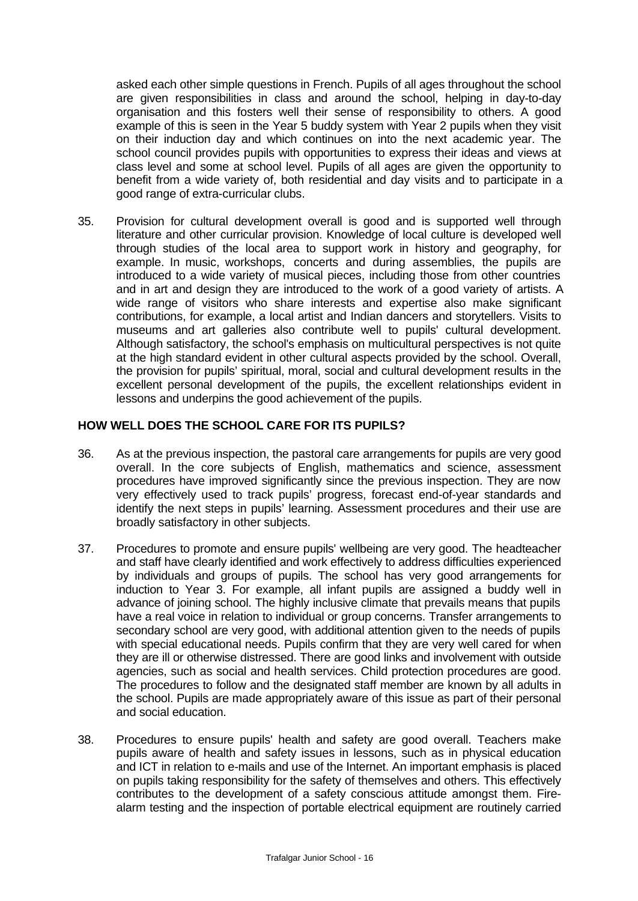asked each other simple questions in French. Pupils of all ages throughout the school are given responsibilities in class and around the school, helping in day-to-day organisation and this fosters well their sense of responsibility to others. A good example of this is seen in the Year 5 buddy system with Year 2 pupils when they visit on their induction day and which continues on into the next academic year. The school council provides pupils with opportunities to express their ideas and views at class level and some at school level. Pupils of all ages are given the opportunity to benefit from a wide variety of, both residential and day visits and to participate in a good range of extra-curricular clubs.

35. Provision for cultural development overall is good and is supported well through literature and other curricular provision. Knowledge of local culture is developed well through studies of the local area to support work in history and geography, for example. In music, workshops, concerts and during assemblies, the pupils are introduced to a wide variety of musical pieces, including those from other countries and in art and design they are introduced to the work of a good variety of artists. A wide range of visitors who share interests and expertise also make significant contributions, for example, a local artist and Indian dancers and storytellers. Visits to museums and art galleries also contribute well to pupils' cultural development. Although satisfactory, the school's emphasis on multicultural perspectives is not quite at the high standard evident in other cultural aspects provided by the school. Overall, the provision for pupils' spiritual, moral, social and cultural development results in the excellent personal development of the pupils, the excellent relationships evident in lessons and underpins the good achievement of the pupils.

## **HOW WELL DOES THE SCHOOL CARE FOR ITS PUPILS?**

- 36. As at the previous inspection, the pastoral care arrangements for pupils are very good overall. In the core subjects of English, mathematics and science, assessment procedures have improved significantly since the previous inspection. They are now very effectively used to track pupils' progress, forecast end-of-year standards and identify the next steps in pupils' learning. Assessment procedures and their use are broadly satisfactory in other subjects.
- 37. Procedures to promote and ensure pupils' wellbeing are very good. The headteacher and staff have clearly identified and work effectively to address difficulties experienced by individuals and groups of pupils. The school has very good arrangements for induction to Year 3. For example, all infant pupils are assigned a buddy well in advance of joining school. The highly inclusive climate that prevails means that pupils have a real voice in relation to individual or group concerns. Transfer arrangements to secondary school are very good, with additional attention given to the needs of pupils with special educational needs. Pupils confirm that they are very well cared for when they are ill or otherwise distressed. There are good links and involvement with outside agencies, such as social and health services. Child protection procedures are good. The procedures to follow and the designated staff member are known by all adults in the school. Pupils are made appropriately aware of this issue as part of their personal and social education.
- 38. Procedures to ensure pupils' health and safety are good overall. Teachers make pupils aware of health and safety issues in lessons, such as in physical education and ICT in relation to e-mails and use of the Internet. An important emphasis is placed on pupils taking responsibility for the safety of themselves and others. This effectively contributes to the development of a safety conscious attitude amongst them. Firealarm testing and the inspection of portable electrical equipment are routinely carried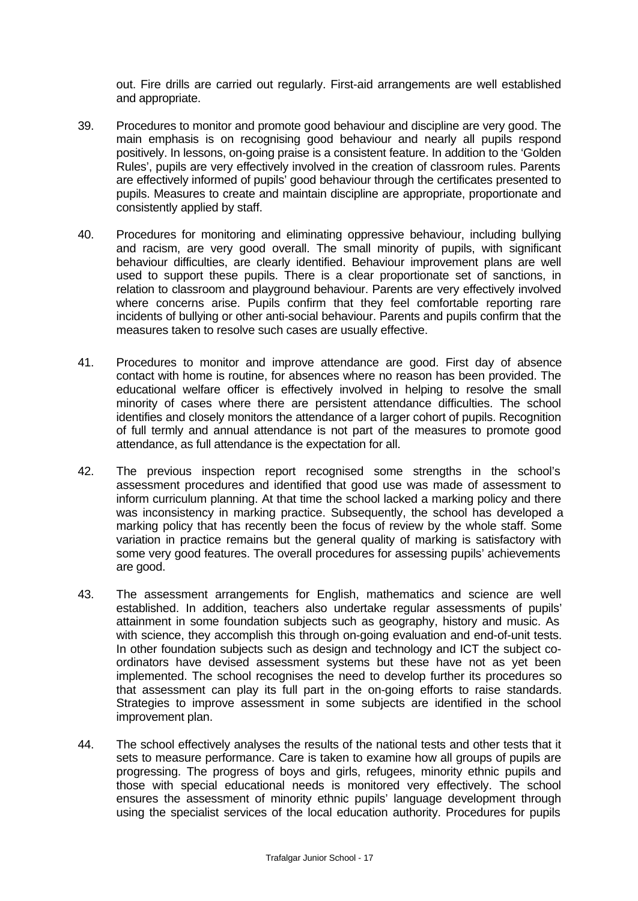out. Fire drills are carried out regularly. First-aid arrangements are well established and appropriate.

- 39. Procedures to monitor and promote good behaviour and discipline are very good. The main emphasis is on recognising good behaviour and nearly all pupils respond positively. In lessons, on-going praise is a consistent feature. In addition to the 'Golden Rules', pupils are very effectively involved in the creation of classroom rules. Parents are effectively informed of pupils' good behaviour through the certificates presented to pupils. Measures to create and maintain discipline are appropriate, proportionate and consistently applied by staff.
- 40. Procedures for monitoring and eliminating oppressive behaviour, including bullying and racism, are very good overall. The small minority of pupils, with significant behaviour difficulties, are clearly identified. Behaviour improvement plans are well used to support these pupils. There is a clear proportionate set of sanctions, in relation to classroom and playground behaviour. Parents are very effectively involved where concerns arise. Pupils confirm that they feel comfortable reporting rare incidents of bullying or other anti-social behaviour. Parents and pupils confirm that the measures taken to resolve such cases are usually effective.
- 41. Procedures to monitor and improve attendance are good. First day of absence contact with home is routine, for absences where no reason has been provided. The educational welfare officer is effectively involved in helping to resolve the small minority of cases where there are persistent attendance difficulties. The school identifies and closely monitors the attendance of a larger cohort of pupils. Recognition of full termly and annual attendance is not part of the measures to promote good attendance, as full attendance is the expectation for all.
- 42. The previous inspection report recognised some strengths in the school's assessment procedures and identified that good use was made of assessment to inform curriculum planning. At that time the school lacked a marking policy and there was inconsistency in marking practice. Subsequently, the school has developed a marking policy that has recently been the focus of review by the whole staff. Some variation in practice remains but the general quality of marking is satisfactory with some very good features. The overall procedures for assessing pupils' achievements are good.
- 43. The assessment arrangements for English, mathematics and science are well established. In addition, teachers also undertake regular assessments of pupils' attainment in some foundation subjects such as geography, history and music. As with science, they accomplish this through on-going evaluation and end-of-unit tests. In other foundation subjects such as design and technology and ICT the subject coordinators have devised assessment systems but these have not as yet been implemented. The school recognises the need to develop further its procedures so that assessment can play its full part in the on-going efforts to raise standards. Strategies to improve assessment in some subjects are identified in the school improvement plan.
- 44. The school effectively analyses the results of the national tests and other tests that it sets to measure performance. Care is taken to examine how all groups of pupils are progressing. The progress of boys and girls, refugees, minority ethnic pupils and those with special educational needs is monitored very effectively. The school ensures the assessment of minority ethnic pupils' language development through using the specialist services of the local education authority. Procedures for pupils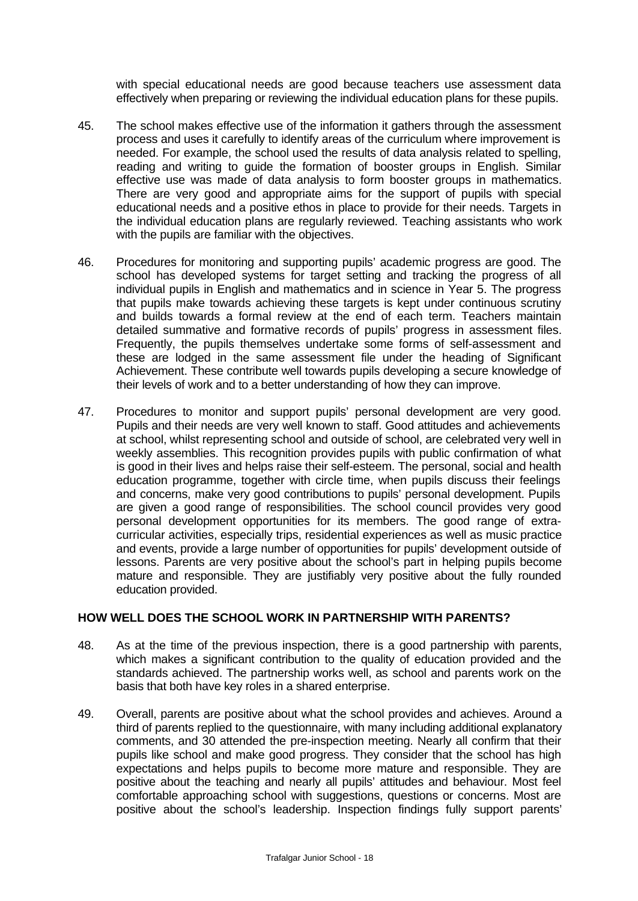with special educational needs are good because teachers use assessment data effectively when preparing or reviewing the individual education plans for these pupils.

- 45. The school makes effective use of the information it gathers through the assessment process and uses it carefully to identify areas of the curriculum where improvement is needed. For example, the school used the results of data analysis related to spelling, reading and writing to guide the formation of booster groups in English. Similar effective use was made of data analysis to form booster groups in mathematics. There are very good and appropriate aims for the support of pupils with special educational needs and a positive ethos in place to provide for their needs. Targets in the individual education plans are regularly reviewed. Teaching assistants who work with the pupils are familiar with the objectives.
- 46. Procedures for monitoring and supporting pupils' academic progress are good. The school has developed systems for target setting and tracking the progress of all individual pupils in English and mathematics and in science in Year 5. The progress that pupils make towards achieving these targets is kept under continuous scrutiny and builds towards a formal review at the end of each term. Teachers maintain detailed summative and formative records of pupils' progress in assessment files. Frequently, the pupils themselves undertake some forms of self-assessment and these are lodged in the same assessment file under the heading of Significant Achievement. These contribute well towards pupils developing a secure knowledge of their levels of work and to a better understanding of how they can improve.
- 47. Procedures to monitor and support pupils' personal development are very good. Pupils and their needs are very well known to staff. Good attitudes and achievements at school, whilst representing school and outside of school, are celebrated very well in weekly assemblies. This recognition provides pupils with public confirmation of what is good in their lives and helps raise their self-esteem. The personal, social and health education programme, together with circle time, when pupils discuss their feelings and concerns, make very good contributions to pupils' personal development. Pupils are given a good range of responsibilities. The school council provides very good personal development opportunities for its members. The good range of extracurricular activities, especially trips, residential experiences as well as music practice and events, provide a large number of opportunities for pupils' development outside of lessons. Parents are very positive about the school's part in helping pupils become mature and responsible. They are justifiably very positive about the fully rounded education provided.

## **HOW WELL DOES THE SCHOOL WORK IN PARTNERSHIP WITH PARENTS?**

- 48. As at the time of the previous inspection, there is a good partnership with parents, which makes a significant contribution to the quality of education provided and the standards achieved. The partnership works well, as school and parents work on the basis that both have key roles in a shared enterprise.
- 49. Overall, parents are positive about what the school provides and achieves. Around a third of parents replied to the questionnaire, with many including additional explanatory comments, and 30 attended the pre-inspection meeting. Nearly all confirm that their pupils like school and make good progress. They consider that the school has high expectations and helps pupils to become more mature and responsible. They are positive about the teaching and nearly all pupils' attitudes and behaviour. Most feel comfortable approaching school with suggestions, questions or concerns. Most are positive about the school's leadership. Inspection findings fully support parents'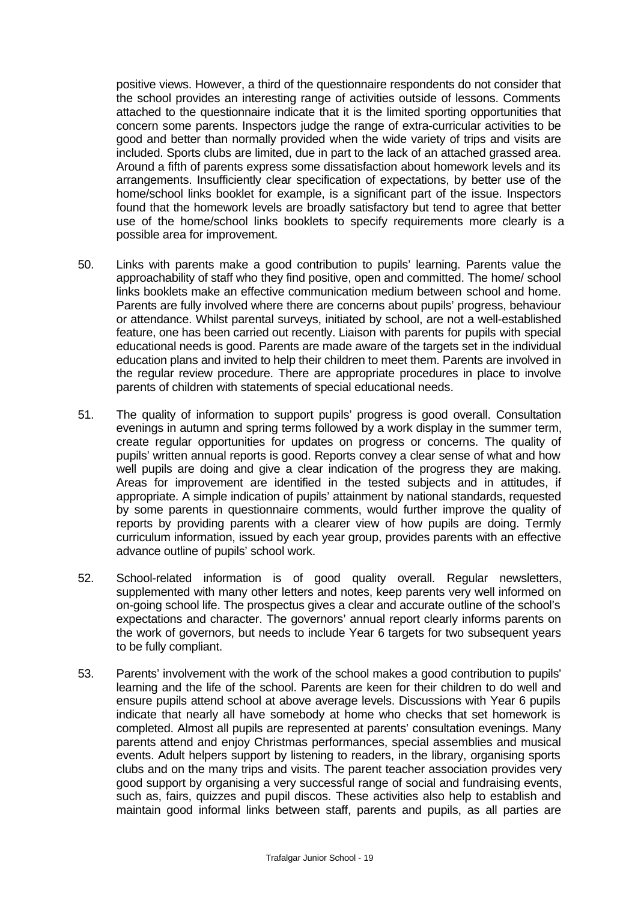positive views. However, a third of the questionnaire respondents do not consider that the school provides an interesting range of activities outside of lessons. Comments attached to the questionnaire indicate that it is the limited sporting opportunities that concern some parents. Inspectors judge the range of extra-curricular activities to be good and better than normally provided when the wide variety of trips and visits are included. Sports clubs are limited, due in part to the lack of an attached grassed area. Around a fifth of parents express some dissatisfaction about homework levels and its arrangements. Insufficiently clear specification of expectations, by better use of the home/school links booklet for example, is a significant part of the issue. Inspectors found that the homework levels are broadly satisfactory but tend to agree that better use of the home/school links booklets to specify requirements more clearly is a possible area for improvement.

- 50. Links with parents make a good contribution to pupils' learning. Parents value the approachability of staff who they find positive, open and committed. The home/ school links booklets make an effective communication medium between school and home. Parents are fully involved where there are concerns about pupils' progress, behaviour or attendance. Whilst parental surveys, initiated by school, are not a well-established feature, one has been carried out recently. Liaison with parents for pupils with special educational needs is good. Parents are made aware of the targets set in the individual education plans and invited to help their children to meet them. Parents are involved in the regular review procedure. There are appropriate procedures in place to involve parents of children with statements of special educational needs.
- 51. The quality of information to support pupils' progress is good overall. Consultation evenings in autumn and spring terms followed by a work display in the summer term, create regular opportunities for updates on progress or concerns. The quality of pupils' written annual reports is good. Reports convey a clear sense of what and how well pupils are doing and give a clear indication of the progress they are making. Areas for improvement are identified in the tested subjects and in attitudes, if appropriate. A simple indication of pupils' attainment by national standards, requested by some parents in questionnaire comments, would further improve the quality of reports by providing parents with a clearer view of how pupils are doing. Termly curriculum information, issued by each year group, provides parents with an effective advance outline of pupils' school work.
- 52. School-related information is of good quality overall. Regular newsletters, supplemented with many other letters and notes, keep parents very well informed on on-going school life. The prospectus gives a clear and accurate outline of the school's expectations and character. The governors' annual report clearly informs parents on the work of governors, but needs to include Year 6 targets for two subsequent years to be fully compliant.
- 53. Parents' involvement with the work of the school makes a good contribution to pupils' learning and the life of the school. Parents are keen for their children to do well and ensure pupils attend school at above average levels. Discussions with Year 6 pupils indicate that nearly all have somebody at home who checks that set homework is completed. Almost all pupils are represented at parents' consultation evenings. Many parents attend and enjoy Christmas performances, special assemblies and musical events. Adult helpers support by listening to readers, in the library, organising sports clubs and on the many trips and visits. The parent teacher association provides very good support by organising a very successful range of social and fundraising events, such as, fairs, quizzes and pupil discos. These activities also help to establish and maintain good informal links between staff, parents and pupils, as all parties are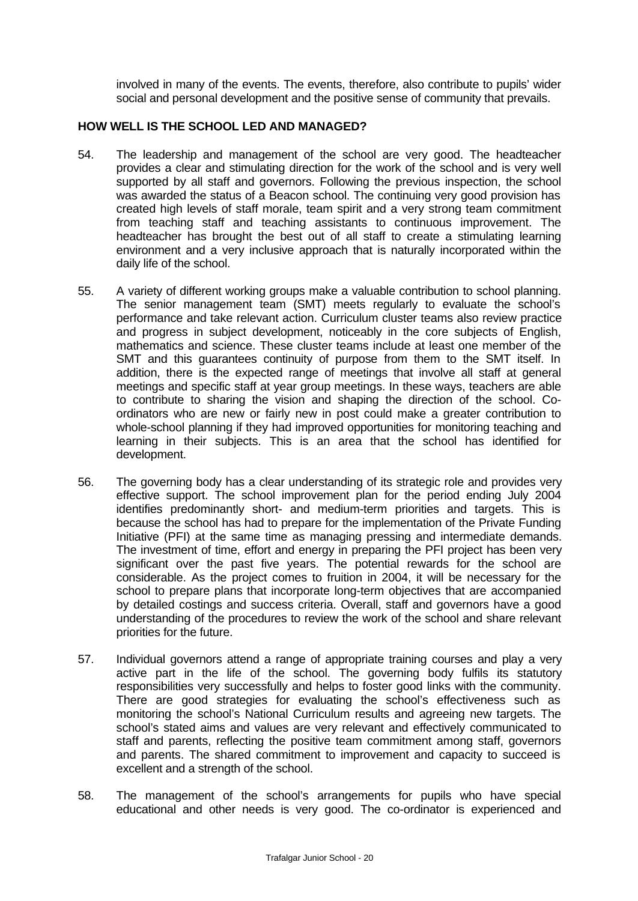involved in many of the events. The events, therefore, also contribute to pupils' wider social and personal development and the positive sense of community that prevails.

## **HOW WELL IS THE SCHOOL LED AND MANAGED?**

- 54. The leadership and management of the school are very good. The headteacher provides a clear and stimulating direction for the work of the school and is very well supported by all staff and governors. Following the previous inspection, the school was awarded the status of a Beacon school. The continuing very good provision has created high levels of staff morale, team spirit and a very strong team commitment from teaching staff and teaching assistants to continuous improvement. The headteacher has brought the best out of all staff to create a stimulating learning environment and a very inclusive approach that is naturally incorporated within the daily life of the school.
- 55. A variety of different working groups make a valuable contribution to school planning. The senior management team (SMT) meets regularly to evaluate the school's performance and take relevant action. Curriculum cluster teams also review practice and progress in subject development, noticeably in the core subjects of English, mathematics and science. These cluster teams include at least one member of the SMT and this guarantees continuity of purpose from them to the SMT itself. In addition, there is the expected range of meetings that involve all staff at general meetings and specific staff at year group meetings. In these ways, teachers are able to contribute to sharing the vision and shaping the direction of the school. Coordinators who are new or fairly new in post could make a greater contribution to whole-school planning if they had improved opportunities for monitoring teaching and learning in their subjects. This is an area that the school has identified for development.
- 56. The governing body has a clear understanding of its strategic role and provides very effective support. The school improvement plan for the period ending July 2004 identifies predominantly short- and medium-term priorities and targets. This is because the school has had to prepare for the implementation of the Private Funding Initiative (PFI) at the same time as managing pressing and intermediate demands. The investment of time, effort and energy in preparing the PFI project has been very significant over the past five years. The potential rewards for the school are considerable. As the project comes to fruition in 2004, it will be necessary for the school to prepare plans that incorporate long-term objectives that are accompanied by detailed costings and success criteria. Overall, staff and governors have a good understanding of the procedures to review the work of the school and share relevant priorities for the future.
- 57. Individual governors attend a range of appropriate training courses and play a very active part in the life of the school. The governing body fulfils its statutory responsibilities very successfully and helps to foster good links with the community. There are good strategies for evaluating the school's effectiveness such as monitoring the school's National Curriculum results and agreeing new targets. The school's stated aims and values are very relevant and effectively communicated to staff and parents, reflecting the positive team commitment among staff, governors and parents. The shared commitment to improvement and capacity to succeed is excellent and a strength of the school.
- 58. The management of the school's arrangements for pupils who have special educational and other needs is very good. The co-ordinator is experienced and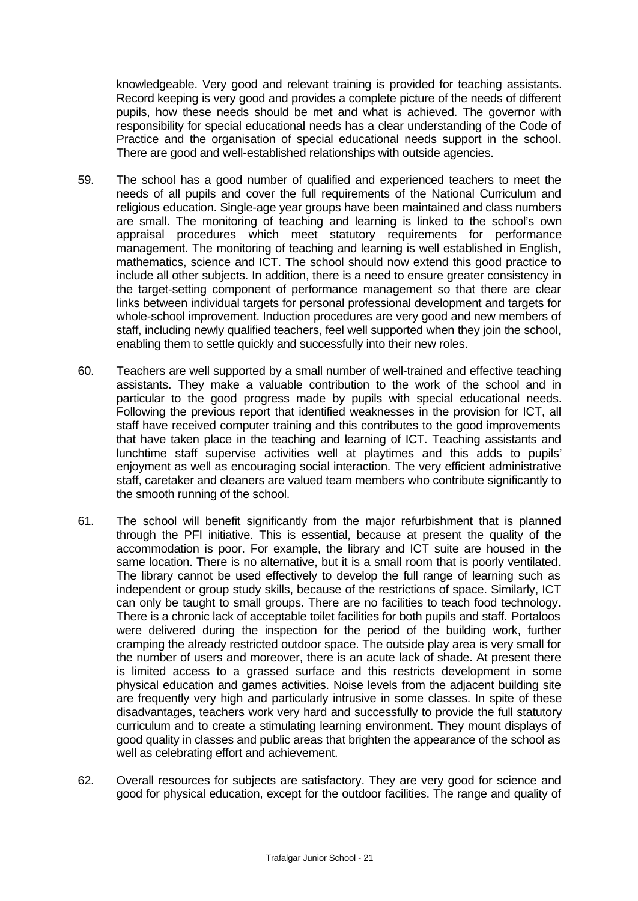knowledgeable. Very good and relevant training is provided for teaching assistants. Record keeping is very good and provides a complete picture of the needs of different pupils, how these needs should be met and what is achieved. The governor with responsibility for special educational needs has a clear understanding of the Code of Practice and the organisation of special educational needs support in the school. There are good and well-established relationships with outside agencies.

- 59. The school has a good number of qualified and experienced teachers to meet the needs of all pupils and cover the full requirements of the National Curriculum and religious education. Single-age year groups have been maintained and class numbers are small. The monitoring of teaching and learning is linked to the school's own appraisal procedures which meet statutory requirements for performance management. The monitoring of teaching and learning is well established in English, mathematics, science and ICT. The school should now extend this good practice to include all other subjects. In addition, there is a need to ensure greater consistency in the target-setting component of performance management so that there are clear links between individual targets for personal professional development and targets for whole-school improvement. Induction procedures are very good and new members of staff, including newly qualified teachers, feel well supported when they join the school, enabling them to settle quickly and successfully into their new roles.
- 60. Teachers are well supported by a small number of well-trained and effective teaching assistants. They make a valuable contribution to the work of the school and in particular to the good progress made by pupils with special educational needs. Following the previous report that identified weaknesses in the provision for ICT, all staff have received computer training and this contributes to the good improvements that have taken place in the teaching and learning of ICT. Teaching assistants and lunchtime staff supervise activities well at playtimes and this adds to pupils' enjoyment as well as encouraging social interaction. The very efficient administrative staff, caretaker and cleaners are valued team members who contribute significantly to the smooth running of the school.
- 61. The school will benefit significantly from the major refurbishment that is planned through the PFI initiative. This is essential, because at present the quality of the accommodation is poor. For example, the library and ICT suite are housed in the same location. There is no alternative, but it is a small room that is poorly ventilated. The library cannot be used effectively to develop the full range of learning such as independent or group study skills, because of the restrictions of space. Similarly, ICT can only be taught to small groups. There are no facilities to teach food technology. There is a chronic lack of acceptable toilet facilities for both pupils and staff. Portaloos were delivered during the inspection for the period of the building work, further cramping the already restricted outdoor space. The outside play area is very small for the number of users and moreover, there is an acute lack of shade. At present there is limited access to a grassed surface and this restricts development in some physical education and games activities. Noise levels from the adjacent building site are frequently very high and particularly intrusive in some classes. In spite of these disadvantages, teachers work very hard and successfully to provide the full statutory curriculum and to create a stimulating learning environment. They mount displays of good quality in classes and public areas that brighten the appearance of the school as well as celebrating effort and achievement.
- 62. Overall resources for subjects are satisfactory. They are very good for science and good for physical education, except for the outdoor facilities. The range and quality of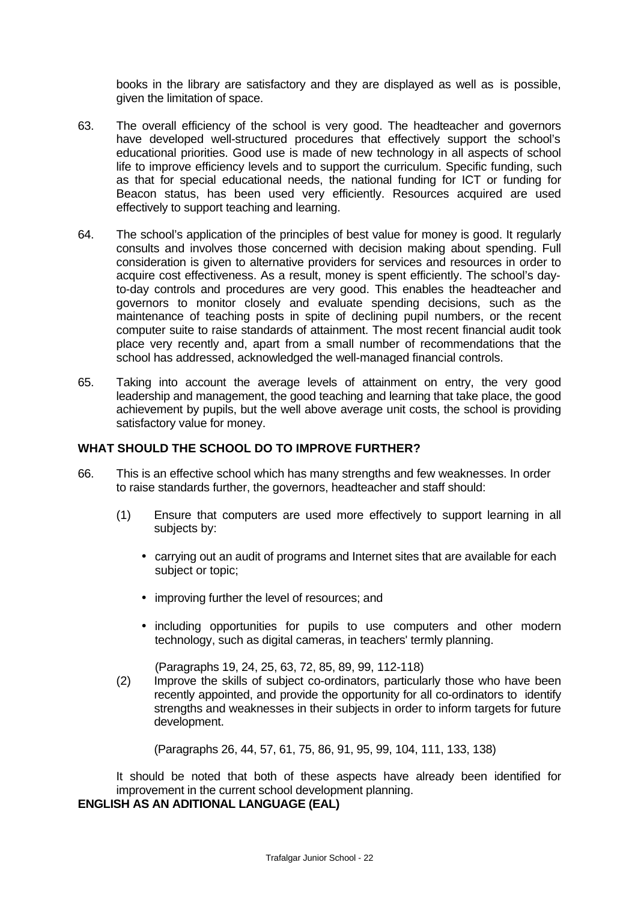books in the library are satisfactory and they are displayed as well as is possible, given the limitation of space.

- 63. The overall efficiency of the school is very good. The headteacher and governors have developed well-structured procedures that effectively support the school's educational priorities. Good use is made of new technology in all aspects of school life to improve efficiency levels and to support the curriculum. Specific funding, such as that for special educational needs, the national funding for ICT or funding for Beacon status, has been used very efficiently. Resources acquired are used effectively to support teaching and learning.
- 64. The school's application of the principles of best value for money is good. It regularly consults and involves those concerned with decision making about spending. Full consideration is given to alternative providers for services and resources in order to acquire cost effectiveness. As a result, money is spent efficiently. The school's dayto-day controls and procedures are very good. This enables the headteacher and governors to monitor closely and evaluate spending decisions, such as the maintenance of teaching posts in spite of declining pupil numbers, or the recent computer suite to raise standards of attainment. The most recent financial audit took place very recently and, apart from a small number of recommendations that the school has addressed, acknowledged the well-managed financial controls.
- 65. Taking into account the average levels of attainment on entry, the very good leadership and management, the good teaching and learning that take place, the good achievement by pupils, but the well above average unit costs, the school is providing satisfactory value for money.

#### **WHAT SHOULD THE SCHOOL DO TO IMPROVE FURTHER?**

- 66. This is an effective school which has many strengths and few weaknesses. In order to raise standards further, the governors, headteacher and staff should:
	- (1) Ensure that computers are used more effectively to support learning in all subjects by:
		- carrying out an audit of programs and Internet sites that are available for each subject or topic;
		- improving further the level of resources; and
		- including opportunities for pupils to use computers and other modern technology, such as digital cameras, in teachers' termly planning.

(Paragraphs 19, 24, 25, 63, 72, 85, 89, 99, 112-118)

(2) Improve the skills of subject co-ordinators, particularly those who have been recently appointed, and provide the opportunity for all co-ordinators to identify strengths and weaknesses in their subjects in order to inform targets for future development.

(Paragraphs 26, 44, 57, 61, 75, 86, 91, 95, 99, 104, 111, 133, 138)

It should be noted that both of these aspects have already been identified for improvement in the current school development planning.

# **ENGLISH AS AN ADITIONAL LANGUAGE (EAL)**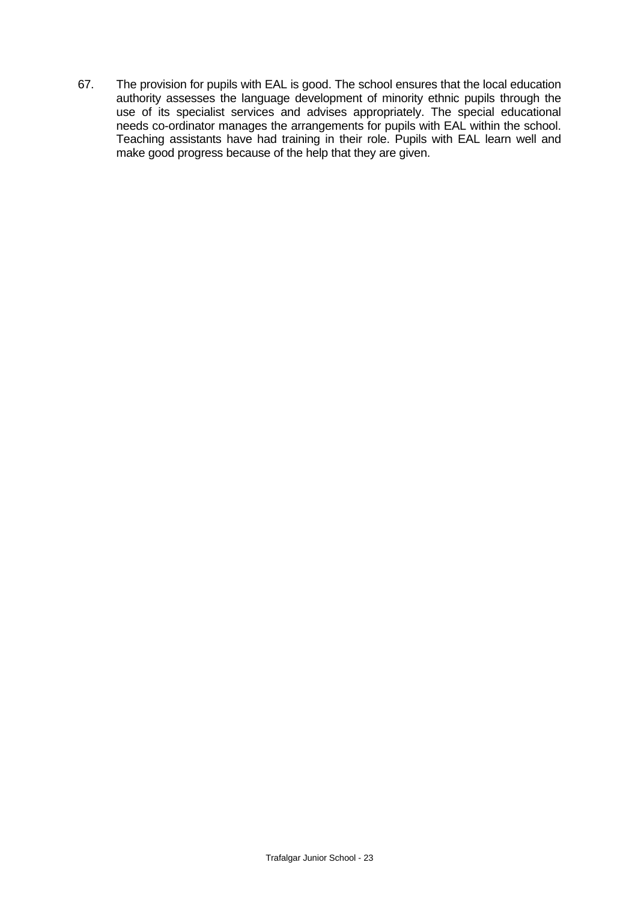67. The provision for pupils with EAL is good. The school ensures that the local education authority assesses the language development of minority ethnic pupils through the use of its specialist services and advises appropriately. The special educational needs co-ordinator manages the arrangements for pupils with EAL within the school. Teaching assistants have had training in their role. Pupils with EAL learn well and make good progress because of the help that they are given.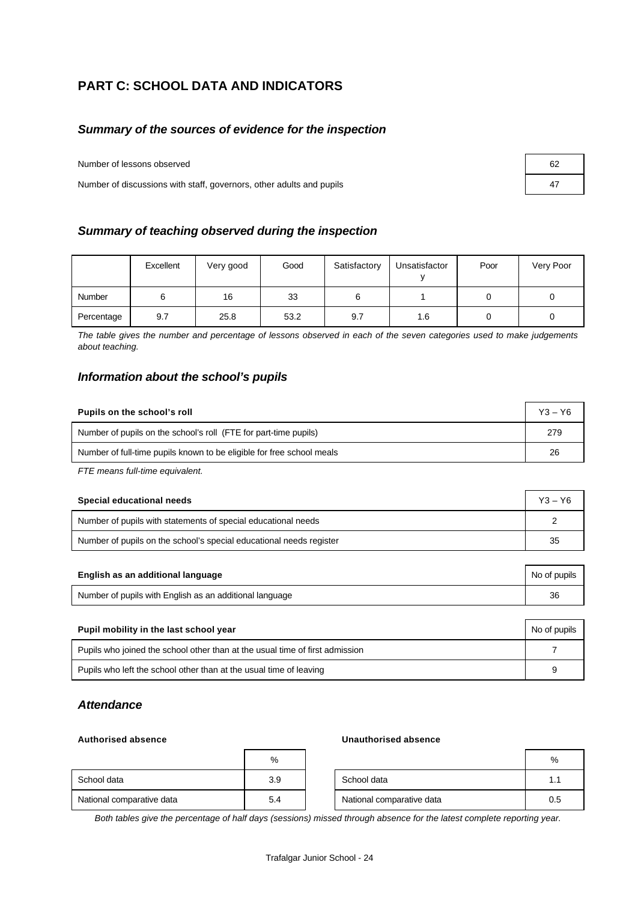# **PART C: SCHOOL DATA AND INDICATORS**

## *Summary of the sources of evidence for the inspection*

Number of lessons observed

Number of discussions with staff, governors, other adults and pupils 47

|  | Summary of teaching observed during the inspection |  |  |
|--|----------------------------------------------------|--|--|
|--|----------------------------------------------------|--|--|

|            | Excellent | Very good | Good | Satisfactory | Unsatisfactor | Poor | Very Poor |
|------------|-----------|-----------|------|--------------|---------------|------|-----------|
| Number     |           | 16        | 33   |              |               |      |           |
| Percentage | 9.7       | 25.8      | 53.2 | 9.7          | 1.6           |      |           |

*The table gives the number and percentage of lessons observed in each of the seven categories used to make judgements about teaching.*

## *Information about the school's pupils*

| Pupils on the school's roll                                           |     |  |  |
|-----------------------------------------------------------------------|-----|--|--|
| Number of pupils on the school's roll (FTE for part-time pupils)      | 279 |  |  |
| Number of full-time pupils known to be eligible for free school meals | 26  |  |  |

*FTE means full-time equivalent.*

| Special educational needs                                           |    |  |  |
|---------------------------------------------------------------------|----|--|--|
| Number of pupils with statements of special educational needs       |    |  |  |
| Number of pupils on the school's special educational needs register | 35 |  |  |

| English as an additional language                       | No of pupils |
|---------------------------------------------------------|--------------|
| Number of pupils with English as an additional language | 36           |

| Pupil mobility in the last school year                                       |   |  |  |  |
|------------------------------------------------------------------------------|---|--|--|--|
| Pupils who joined the school other than at the usual time of first admission |   |  |  |  |
| Pupils who left the school other than at the usual time of leaving           | 9 |  |  |  |

## *Attendance*

#### **Authorised absence Unauthorised absence**

|                           | %   |                           | %   |
|---------------------------|-----|---------------------------|-----|
| School data               | 3.9 | School data               | 1.1 |
| National comparative data | 5.4 | National comparative data | 0.5 |

*Both tables give the percentage of half days (sessions) missed through absence for the latest complete reporting year.*

| 62 |  |
|----|--|
| 47 |  |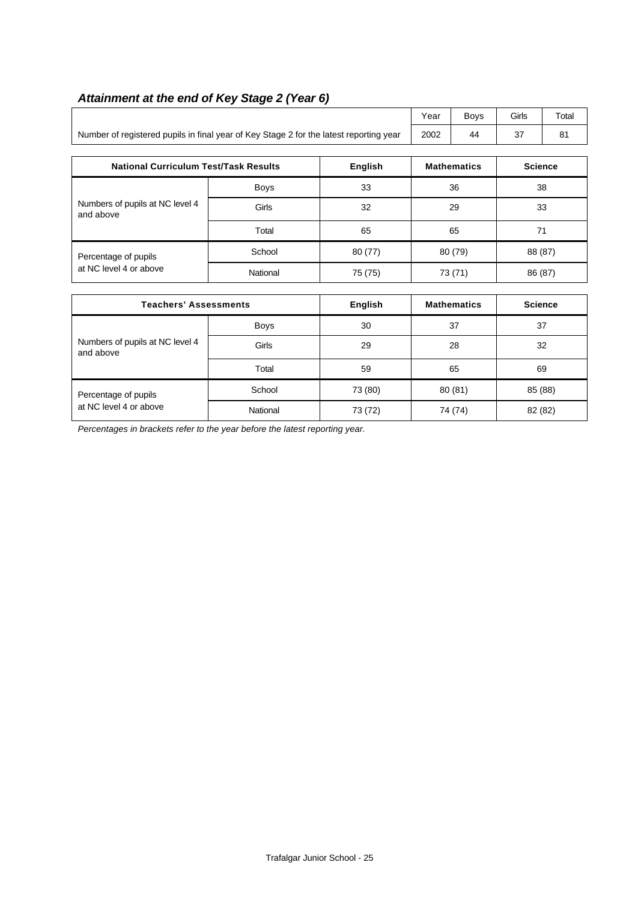|                                                                                        | Year        | <b>Boys</b>    | Girls   | Total              |                |                |
|----------------------------------------------------------------------------------------|-------------|----------------|---------|--------------------|----------------|----------------|
| Number of registered pupils in final year of Key Stage 2 for the latest reporting year | 2002        | 44             | 37      | 81                 |                |                |
|                                                                                        |             |                |         |                    |                |                |
| <b>National Curriculum Test/Task Results</b>                                           |             | <b>English</b> |         | <b>Mathematics</b> | <b>Science</b> |                |
|                                                                                        | <b>Boys</b> | 33             | 36      |                    | 38             |                |
| Numbers of pupils at NC level 4<br>and above                                           | Girls       | 32             | 29      |                    | 33             |                |
|                                                                                        | Total       | 65             | 65      |                    | 71             |                |
| Percentage of pupils                                                                   | School      | 80(77)         | 80 (79) |                    | 88 (87)        |                |
| at NC level 4 or above                                                                 | National    | 75 (75)        | 73 (71) |                    | 86 (87)        |                |
|                                                                                        |             |                |         |                    |                |                |
| <b>Teachers' Assessments</b>                                                           |             | <b>English</b> |         | <b>Mathematics</b> |                | <b>Science</b> |
|                                                                                        | Boys        | 30             | 37      |                    | 37             |                |
| Numbers of pupils at NC level 4<br>and above                                           | Girls       | 29             |         | 28                 |                | 32             |

Percentage of pupils **School** School 73 (80) 80 (81) 85 (88) at NC level 4 or above National 73 (72) 74 (74) 82 (82)

Total 59 65 69

# *Attainment at the end of Key Stage 2 (Year 6)*

*Percentages in brackets refer to the year before the latest reporting year.*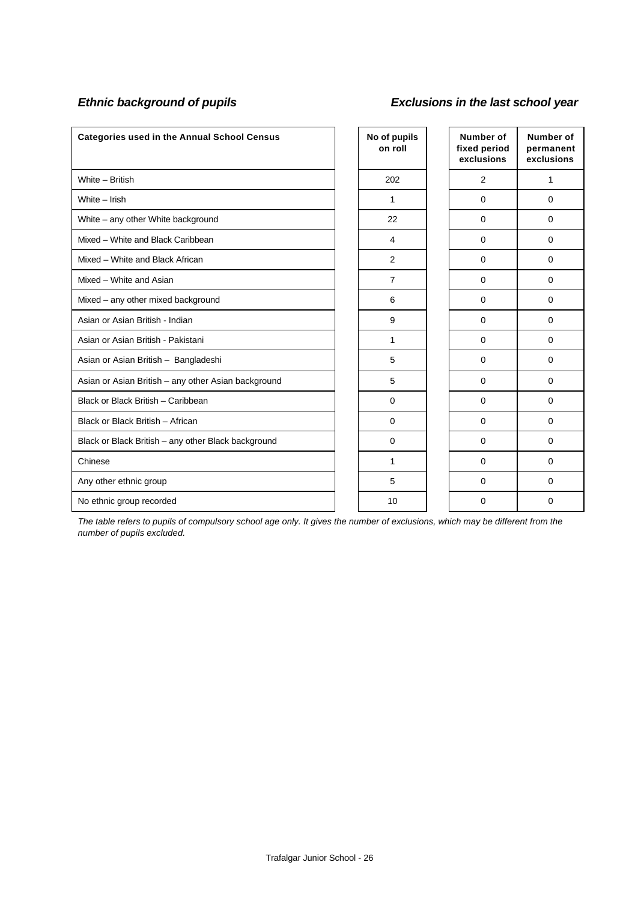# *Ethnic background of pupils Exclusions in the last school year*

| <b>Categories used in the Annual School Census</b>  | No of pupils<br>on roll | Number of<br>fixed period<br>exclusions | Number of<br>permanent<br>exclusions |
|-----------------------------------------------------|-------------------------|-----------------------------------------|--------------------------------------|
| White - British                                     | 202                     | 2                                       | 1                                    |
| White - Irish                                       | 1                       | $\Omega$                                | $\Omega$                             |
| White - any other White background                  | 22                      | $\mathbf 0$                             | $\Omega$                             |
| Mixed - White and Black Caribbean                   | 4                       | $\mathbf 0$                             | $\Omega$                             |
| Mixed - White and Black African                     | 2                       | $\mathbf 0$                             | $\Omega$                             |
| Mixed - White and Asian                             | $\overline{7}$          | $\mathbf 0$                             | $\Omega$                             |
| Mixed - any other mixed background                  | 6                       | $\Omega$                                | $\Omega$                             |
| Asian or Asian British - Indian                     | 9                       | $\mathbf 0$                             | $\Omega$                             |
| Asian or Asian British - Pakistani                  | 1                       | $\mathbf 0$                             | $\mathbf 0$                          |
| Asian or Asian British - Bangladeshi                | 5                       | 0                                       | 0                                    |
| Asian or Asian British - any other Asian background | 5                       | 0                                       | $\Omega$                             |
| Black or Black British - Caribbean                  | 0                       | 0                                       | $\Omega$                             |
| Black or Black British - African                    | 0                       | 0                                       | $\Omega$                             |
| Black or Black British - any other Black background | $\mathbf 0$             | $\Omega$                                | $\Omega$                             |
| Chinese                                             | 1                       | $\Omega$                                | $\Omega$                             |
| Any other ethnic group                              | 5                       | $\mathbf 0$                             | $\Omega$                             |
| No ethnic group recorded                            | 10                      | 0                                       | $\Omega$                             |

*The table refers to pupils of compulsory school age only. It gives the number of exclusions, which may be different from the number of pupils excluded.*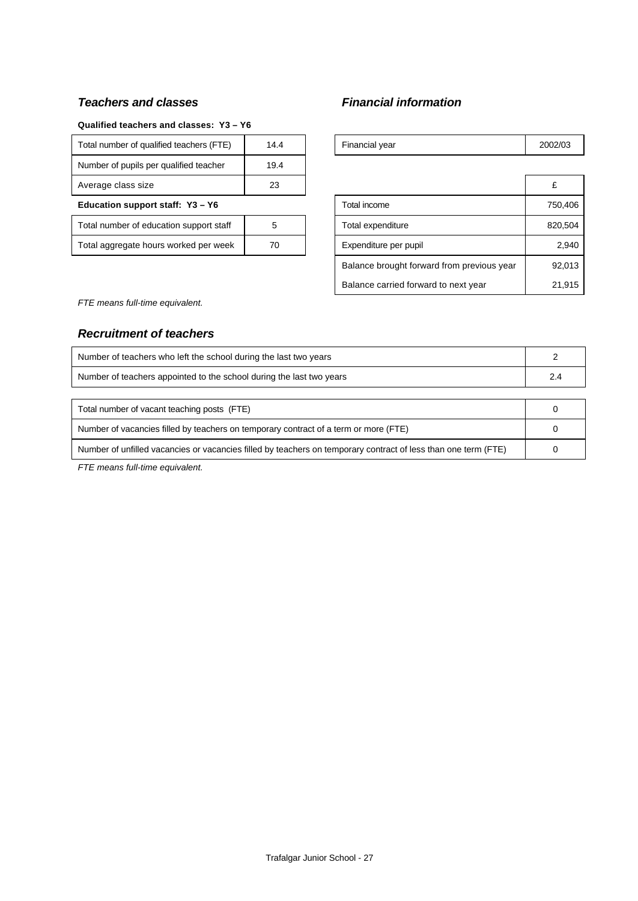# *Teachers and classes Financial information*

#### **Qualified teachers and classes: Y3 – Y6**

| Total number of qualified teachers (FTE) | 14.4 |  | Financial year        | 2002 |
|------------------------------------------|------|--|-----------------------|------|
| Number of pupils per qualified teacher   | 19.4 |  |                       |      |
| Average class size                       | 23   |  |                       | £    |
| Education support staff: Y3 - Y6         |      |  | Total income          | 75   |
| Total number of education support staff  | 5    |  | Total expenditure     | 82   |
| Total aggregate hours worked per week    | 70   |  | Expenditure per pupil |      |
|                                          |      |  |                       |      |

| Total number of qualified teachers (FTE) | 14.4 |  | Financial year                             | 2002/03 |
|------------------------------------------|------|--|--------------------------------------------|---------|
| Number of pupils per qualified teacher   | 19.4 |  |                                            |         |
| Average class size                       | 23   |  |                                            | £       |
| Education support staff: Y3 - Y6         |      |  | Total income                               | 750,406 |
| Total number of education support staff  | 5    |  | Total expenditure                          | 820,504 |
| Total aggregate hours worked per week    | 70   |  | Expenditure per pupil                      | 2,940   |
|                                          |      |  | Balance brought forward from previous year | 92,013  |
|                                          |      |  | Balance carried forward to next year       | 21,915  |

*FTE means full-time equivalent.*

# *Recruitment of teachers*

| Number of teachers who left the school during the last two years                                               |  |
|----------------------------------------------------------------------------------------------------------------|--|
| Number of teachers appointed to the school during the last two years                                           |  |
|                                                                                                                |  |
| Total number of vacant teaching posts (FTE)                                                                    |  |
| Number of vacancies filled by teachers on temporary contract of a term or more (FTE)                           |  |
| Number of unfilled vacancies or vacancies filled by teachers on temporary contract of less than one term (FTE) |  |

*FTE means full-time equivalent.*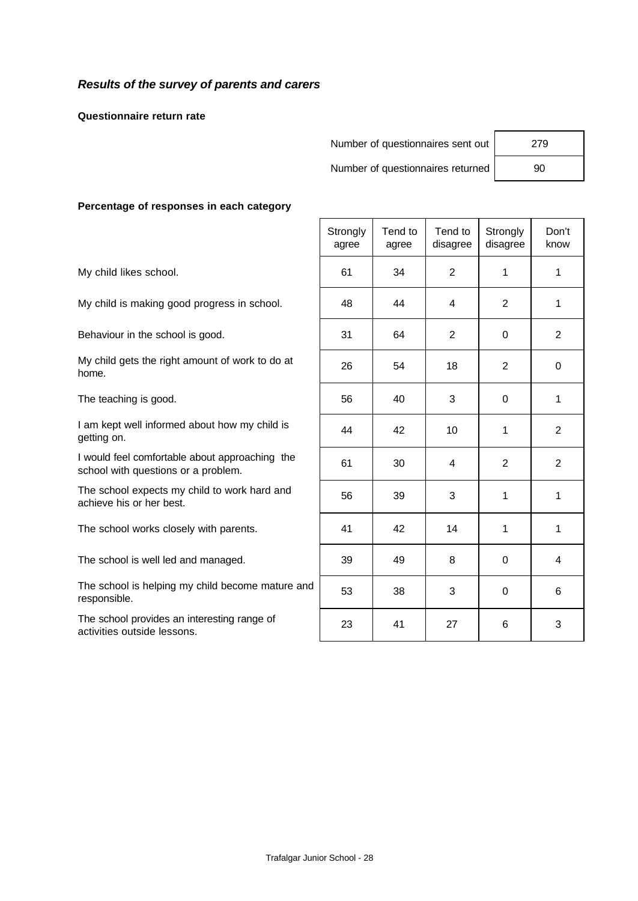## *Results of the survey of parents and carers*

**Questionnaire return rate**

Number of questionnaires sent out | 279

Number of questionnaires returned 90

#### **Percentage of responses in each category**

|                                                                                       | Strongly<br>agree | Tend to<br>agree | Tend to<br>disagree | Strongly<br>disagree | Don't<br>know |
|---------------------------------------------------------------------------------------|-------------------|------------------|---------------------|----------------------|---------------|
| My child likes school.                                                                | 61                | 34               | $\overline{2}$      | 1                    | $\mathbf{1}$  |
| My child is making good progress in school.                                           | 48                | 44               | 4                   | $\overline{2}$       | $\mathbf{1}$  |
| Behaviour in the school is good.                                                      | 31                | 64               | $\overline{2}$      | $\Omega$             | 2             |
| My child gets the right amount of work to do at<br>home.                              | 26                | 54               | 18                  | $\overline{2}$       | $\mathbf 0$   |
| The teaching is good.                                                                 | 56                | 40               | 3                   | 0                    | 1             |
| I am kept well informed about how my child is<br>getting on.                          | 44                | 42               | 10                  | $\mathbf 1$          | 2             |
| I would feel comfortable about approaching the<br>school with questions or a problem. | 61                | 30               | $\overline{4}$      | $\overline{2}$       | 2             |
| The school expects my child to work hard and<br>achieve his or her best.              | 56                | 39               | 3                   | $\mathbf{1}$         | 1             |
| The school works closely with parents.                                                | 41                | 42               | 14                  | 1                    | 1             |
| The school is well led and managed.                                                   | 39                | 49               | 8                   | $\Omega$             | 4             |
| The school is helping my child become mature and<br>responsible.                      | 53                | 38               | 3                   | $\Omega$             | 6             |
| The school provides an interesting range of<br>activities outside lessons.            | 23                | 41               | 27                  | 6                    | 3             |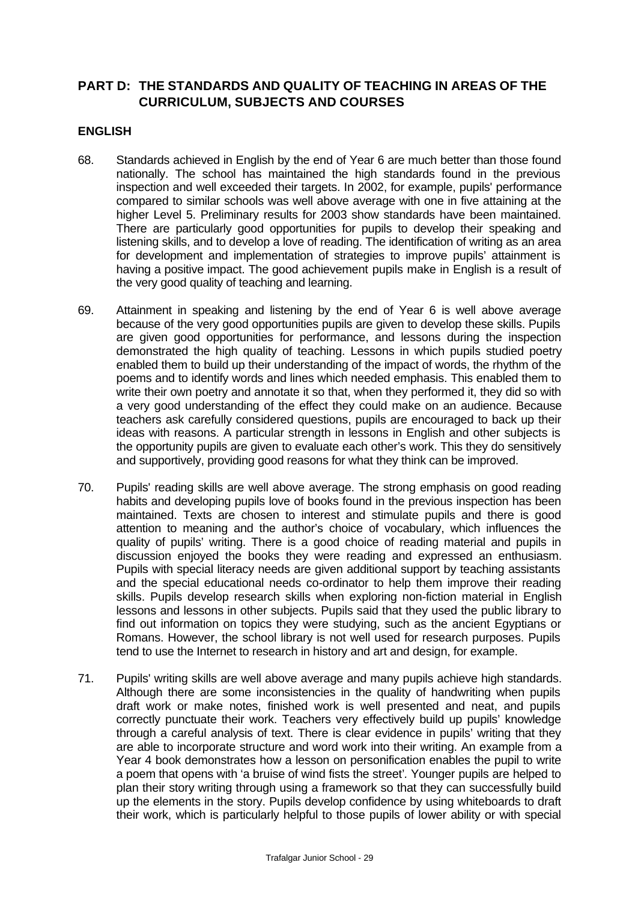# **PART D: THE STANDARDS AND QUALITY OF TEACHING IN AREAS OF THE CURRICULUM, SUBJECTS AND COURSES**

#### **ENGLISH**

- 68. Standards achieved in English by the end of Year 6 are much better than those found nationally. The school has maintained the high standards found in the previous inspection and well exceeded their targets. In 2002, for example, pupils' performance compared to similar schools was well above average with one in five attaining at the higher Level 5. Preliminary results for 2003 show standards have been maintained. There are particularly good opportunities for pupils to develop their speaking and listening skills, and to develop a love of reading. The identification of writing as an area for development and implementation of strategies to improve pupils' attainment is having a positive impact. The good achievement pupils make in English is a result of the very good quality of teaching and learning.
- 69. Attainment in speaking and listening by the end of Year 6 is well above average because of the very good opportunities pupils are given to develop these skills. Pupils are given good opportunities for performance, and lessons during the inspection demonstrated the high quality of teaching. Lessons in which pupils studied poetry enabled them to build up their understanding of the impact of words, the rhythm of the poems and to identify words and lines which needed emphasis. This enabled them to write their own poetry and annotate it so that, when they performed it, they did so with a very good understanding of the effect they could make on an audience. Because teachers ask carefully considered questions, pupils are encouraged to back up their ideas with reasons. A particular strength in lessons in English and other subjects is the opportunity pupils are given to evaluate each other's work. This they do sensitively and supportively, providing good reasons for what they think can be improved.
- 70. Pupils' reading skills are well above average. The strong emphasis on good reading habits and developing pupils love of books found in the previous inspection has been maintained. Texts are chosen to interest and stimulate pupils and there is good attention to meaning and the author's choice of vocabulary, which influences the quality of pupils' writing. There is a good choice of reading material and pupils in discussion enjoyed the books they were reading and expressed an enthusiasm. Pupils with special literacy needs are given additional support by teaching assistants and the special educational needs co-ordinator to help them improve their reading skills. Pupils develop research skills when exploring non-fiction material in English lessons and lessons in other subjects. Pupils said that they used the public library to find out information on topics they were studying, such as the ancient Egyptians or Romans. However, the school library is not well used for research purposes. Pupils tend to use the Internet to research in history and art and design, for example.
- 71. Pupils' writing skills are well above average and many pupils achieve high standards. Although there are some inconsistencies in the quality of handwriting when pupils draft work or make notes, finished work is well presented and neat, and pupils correctly punctuate their work. Teachers very effectively build up pupils' knowledge through a careful analysis of text. There is clear evidence in pupils' writing that they are able to incorporate structure and word work into their writing. An example from a Year 4 book demonstrates how a lesson on personification enables the pupil to write a poem that opens with 'a bruise of wind fists the street'*.* Younger pupils are helped to plan their story writing through using a framework so that they can successfully build up the elements in the story. Pupils develop confidence by using whiteboards to draft their work, which is particularly helpful to those pupils of lower ability or with special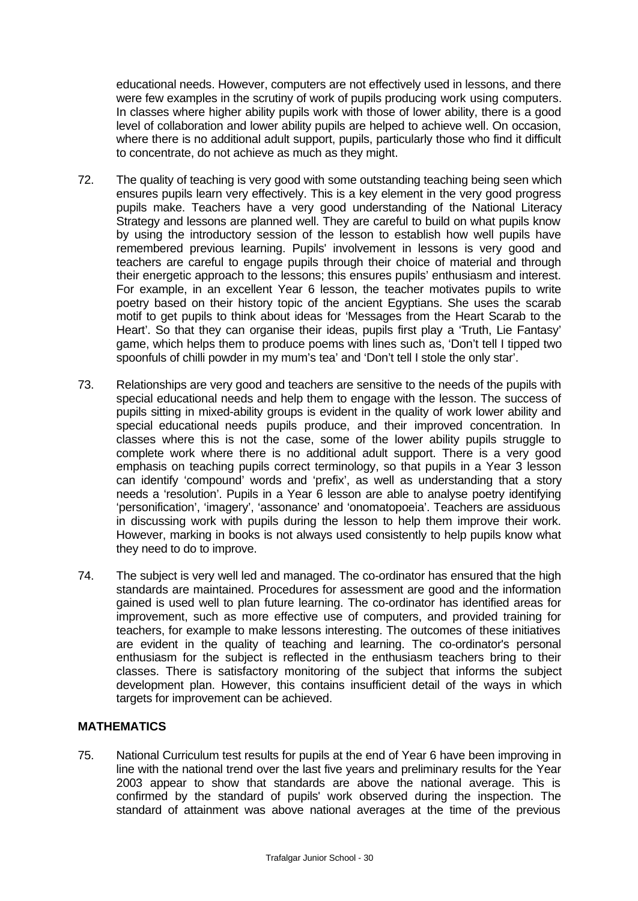educational needs. However, computers are not effectively used in lessons, and there were few examples in the scrutiny of work of pupils producing work using computers. In classes where higher ability pupils work with those of lower ability, there is a good level of collaboration and lower ability pupils are helped to achieve well. On occasion, where there is no additional adult support, pupils, particularly those who find it difficult to concentrate, do not achieve as much as they might.

- 72. The quality of teaching is very good with some outstanding teaching being seen which ensures pupils learn very effectively. This is a key element in the very good progress pupils make. Teachers have a very good understanding of the National Literacy Strategy and lessons are planned well. They are careful to build on what pupils know by using the introductory session of the lesson to establish how well pupils have remembered previous learning. Pupils' involvement in lessons is very good and teachers are careful to engage pupils through their choice of material and through their energetic approach to the lessons; this ensures pupils' enthusiasm and interest. For example, in an excellent Year 6 lesson, the teacher motivates pupils to write poetry based on their history topic of the ancient Egyptians. She uses the scarab motif to get pupils to think about ideas for 'Messages from the Heart Scarab to the Heart'. So that they can organise their ideas, pupils first play a 'Truth, Lie Fantasy' game, which helps them to produce poems with lines such as, 'Don't tell I tipped two spoonfuls of chilli powder in my mum's tea' and 'Don't tell I stole the only star'.
- 73. Relationships are very good and teachers are sensitive to the needs of the pupils with special educational needs and help them to engage with the lesson. The success of pupils sitting in mixed-ability groups is evident in the quality of work lower ability and special educational needs pupils produce, and their improved concentration. In classes where this is not the case, some of the lower ability pupils struggle to complete work where there is no additional adult support. There is a very good emphasis on teaching pupils correct terminology, so that pupils in a Year 3 lesson can identify 'compound' words and 'prefix', as well as understanding that a story needs a 'resolution'. Pupils in a Year 6 lesson are able to analyse poetry identifying 'personification', 'imagery', 'assonance' and 'onomatopoeia'. Teachers are assiduous in discussing work with pupils during the lesson to help them improve their work. However, marking in books is not always used consistently to help pupils know what they need to do to improve.
- 74. The subject is very well led and managed. The co-ordinator has ensured that the high standards are maintained. Procedures for assessment are good and the information gained is used well to plan future learning. The co-ordinator has identified areas for improvement, such as more effective use of computers, and provided training for teachers, for example to make lessons interesting. The outcomes of these initiatives are evident in the quality of teaching and learning. The co-ordinator's personal enthusiasm for the subject is reflected in the enthusiasm teachers bring to their classes. There is satisfactory monitoring of the subject that informs the subject development plan. However, this contains insufficient detail of the ways in which targets for improvement can be achieved.

## **MATHEMATICS**

75. National Curriculum test results for pupils at the end of Year 6 have been improving in line with the national trend over the last five years and preliminary results for the Year 2003 appear to show that standards are above the national average. This is confirmed by the standard of pupils' work observed during the inspection. The standard of attainment was above national averages at the time of the previous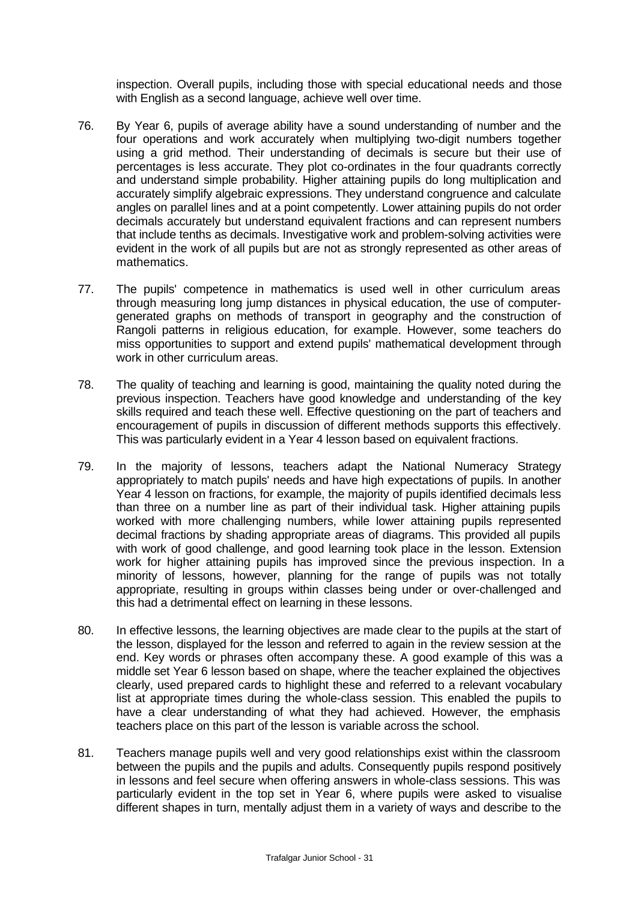inspection. Overall pupils, including those with special educational needs and those with English as a second language, achieve well over time.

- 76. By Year 6, pupils of average ability have a sound understanding of number and the four operations and work accurately when multiplying two-digit numbers together using a grid method. Their understanding of decimals is secure but their use of percentages is less accurate. They plot co-ordinates in the four quadrants correctly and understand simple probability. Higher attaining pupils do long multiplication and accurately simplify algebraic expressions. They understand congruence and calculate angles on parallel lines and at a point competently. Lower attaining pupils do not order decimals accurately but understand equivalent fractions and can represent numbers that include tenths as decimals. Investigative work and problem-solving activities were evident in the work of all pupils but are not as strongly represented as other areas of mathematics.
- 77. The pupils' competence in mathematics is used well in other curriculum areas through measuring long jump distances in physical education, the use of computergenerated graphs on methods of transport in geography and the construction of Rangoli patterns in religious education, for example. However, some teachers do miss opportunities to support and extend pupils' mathematical development through work in other curriculum areas.
- 78. The quality of teaching and learning is good, maintaining the quality noted during the previous inspection. Teachers have good knowledge and understanding of the key skills required and teach these well. Effective questioning on the part of teachers and encouragement of pupils in discussion of different methods supports this effectively. This was particularly evident in a Year 4 lesson based on equivalent fractions.
- 79. In the majority of lessons, teachers adapt the National Numeracy Strategy appropriately to match pupils' needs and have high expectations of pupils. In another Year 4 lesson on fractions, for example, the majority of pupils identified decimals less than three on a number line as part of their individual task. Higher attaining pupils worked with more challenging numbers, while lower attaining pupils represented decimal fractions by shading appropriate areas of diagrams. This provided all pupils with work of good challenge, and good learning took place in the lesson. Extension work for higher attaining pupils has improved since the previous inspection. In a minority of lessons, however, planning for the range of pupils was not totally appropriate, resulting in groups within classes being under or over-challenged and this had a detrimental effect on learning in these lessons.
- 80. In effective lessons, the learning objectives are made clear to the pupils at the start of the lesson, displayed for the lesson and referred to again in the review session at the end. Key words or phrases often accompany these. A good example of this was a middle set Year 6 lesson based on shape, where the teacher explained the objectives clearly, used prepared cards to highlight these and referred to a relevant vocabulary list at appropriate times during the whole-class session. This enabled the pupils to have a clear understanding of what they had achieved. However, the emphasis teachers place on this part of the lesson is variable across the school.
- 81. Teachers manage pupils well and very good relationships exist within the classroom between the pupils and the pupils and adults. Consequently pupils respond positively in lessons and feel secure when offering answers in whole-class sessions. This was particularly evident in the top set in Year 6, where pupils were asked to visualise different shapes in turn, mentally adjust them in a variety of ways and describe to the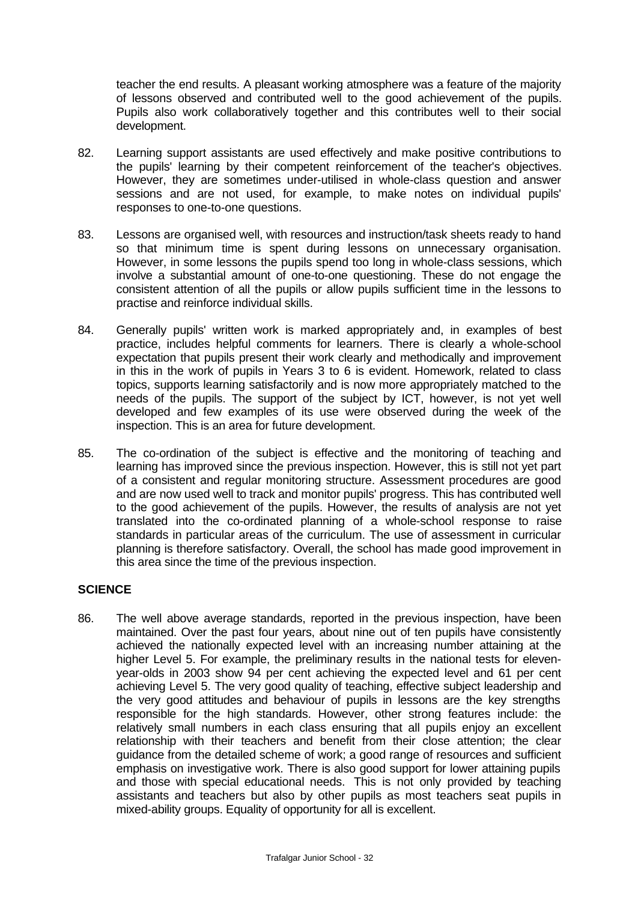teacher the end results. A pleasant working atmosphere was a feature of the majority of lessons observed and contributed well to the good achievement of the pupils. Pupils also work collaboratively together and this contributes well to their social development.

- 82. Learning support assistants are used effectively and make positive contributions to the pupils' learning by their competent reinforcement of the teacher's objectives. However, they are sometimes under-utilised in whole-class question and answer sessions and are not used, for example, to make notes on individual pupils' responses to one-to-one questions.
- 83. Lessons are organised well, with resources and instruction/task sheets ready to hand so that minimum time is spent during lessons on unnecessary organisation. However, in some lessons the pupils spend too long in whole-class sessions, which involve a substantial amount of one-to-one questioning. These do not engage the consistent attention of all the pupils or allow pupils sufficient time in the lessons to practise and reinforce individual skills.
- 84. Generally pupils' written work is marked appropriately and, in examples of best practice, includes helpful comments for learners. There is clearly a whole-school expectation that pupils present their work clearly and methodically and improvement in this in the work of pupils in Years 3 to 6 is evident. Homework, related to class topics, supports learning satisfactorily and is now more appropriately matched to the needs of the pupils. The support of the subject by ICT, however, is not yet well developed and few examples of its use were observed during the week of the inspection. This is an area for future development.
- 85. The co-ordination of the subject is effective and the monitoring of teaching and learning has improved since the previous inspection. However, this is still not yet part of a consistent and regular monitoring structure. Assessment procedures are good and are now used well to track and monitor pupils' progress. This has contributed well to the good achievement of the pupils. However, the results of analysis are not yet translated into the co-ordinated planning of a whole-school response to raise standards in particular areas of the curriculum. The use of assessment in curricular planning is therefore satisfactory. Overall, the school has made good improvement in this area since the time of the previous inspection.

## **SCIENCE**

86. The well above average standards, reported in the previous inspection, have been maintained. Over the past four years, about nine out of ten pupils have consistently achieved the nationally expected level with an increasing number attaining at the higher Level 5. For example, the preliminary results in the national tests for elevenyear-olds in 2003 show 94 per cent achieving the expected level and 61 per cent achieving Level 5. The very good quality of teaching, effective subject leadership and the very good attitudes and behaviour of pupils in lessons are the key strengths responsible for the high standards. However, other strong features include: the relatively small numbers in each class ensuring that all pupils enjoy an excellent relationship with their teachers and benefit from their close attention; the clear guidance from the detailed scheme of work; a good range of resources and sufficient emphasis on investigative work. There is also good support for lower attaining pupils and those with special educational needs. This is not only provided by teaching assistants and teachers but also by other pupils as most teachers seat pupils in mixed-ability groups. Equality of opportunity for all is excellent.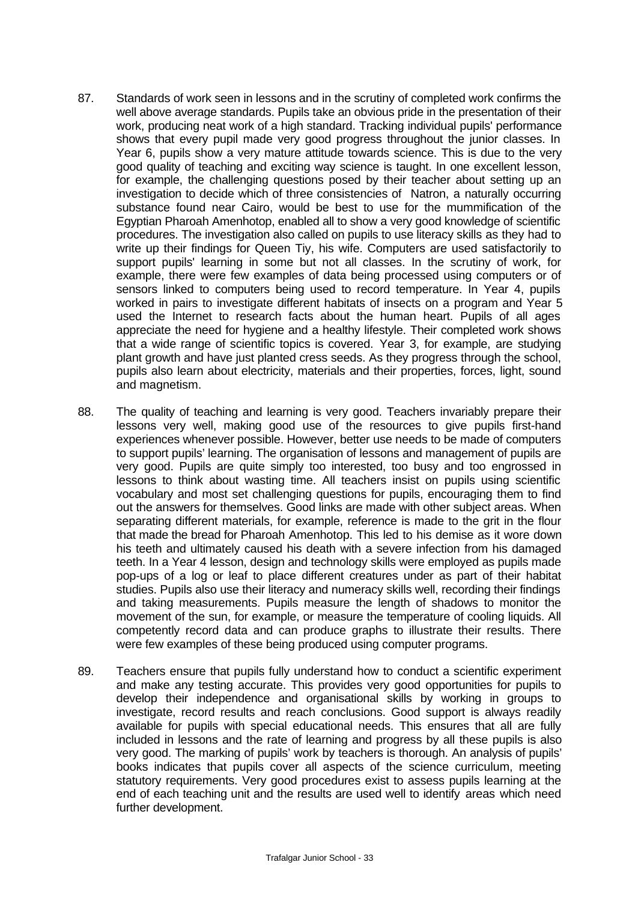- 87. Standards of work seen in lessons and in the scrutiny of completed work confirms the well above average standards. Pupils take an obvious pride in the presentation of their work, producing neat work of a high standard. Tracking individual pupils' performance shows that every pupil made very good progress throughout the junior classes. In Year 6, pupils show a very mature attitude towards science. This is due to the very good quality of teaching and exciting way science is taught. In one excellent lesson, for example, the challenging questions posed by their teacher about setting up an investigation to decide which of three consistencies of Natron, a naturally occurring substance found near Cairo, would be best to use for the mummification of the Egyptian Pharoah Amenhotop, enabled all to show a very good knowledge of scientific procedures. The investigation also called on pupils to use literacy skills as they had to write up their findings for Queen Tiy, his wife. Computers are used satisfactorily to support pupils' learning in some but not all classes. In the scrutiny of work, for example, there were few examples of data being processed using computers or of sensors linked to computers being used to record temperature. In Year 4, pupils worked in pairs to investigate different habitats of insects on a program and Year 5 used the Internet to research facts about the human heart. Pupils of all ages appreciate the need for hygiene and a healthy lifestyle. Their completed work shows that a wide range of scientific topics is covered. Year 3, for example, are studying plant growth and have just planted cress seeds. As they progress through the school, pupils also learn about electricity, materials and their properties, forces, light, sound and magnetism.
- 88. The quality of teaching and learning is very good. Teachers invariably prepare their lessons very well, making good use of the resources to give pupils first-hand experiences whenever possible. However, better use needs to be made of computers to support pupils' learning. The organisation of lessons and management of pupils are very good. Pupils are quite simply too interested, too busy and too engrossed in lessons to think about wasting time. All teachers insist on pupils using scientific vocabulary and most set challenging questions for pupils, encouraging them to find out the answers for themselves. Good links are made with other subject areas. When separating different materials, for example, reference is made to the grit in the flour that made the bread for Pharoah Amenhotop. This led to his demise as it wore down his teeth and ultimately caused his death with a severe infection from his damaged teeth. In a Year 4 lesson, design and technology skills were employed as pupils made pop-ups of a log or leaf to place different creatures under as part of their habitat studies. Pupils also use their literacy and numeracy skills well, recording their findings and taking measurements. Pupils measure the length of shadows to monitor the movement of the sun, for example, or measure the temperature of cooling liquids. All competently record data and can produce graphs to illustrate their results. There were few examples of these being produced using computer programs.
- 89. Teachers ensure that pupils fully understand how to conduct a scientific experiment and make any testing accurate. This provides very good opportunities for pupils to develop their independence and organisational skills by working in groups to investigate, record results and reach conclusions. Good support is always readily available for pupils with special educational needs. This ensures that all are fully included in lessons and the rate of learning and progress by all these pupils is also very good. The marking of pupils' work by teachers is thorough. An analysis of pupils' books indicates that pupils cover all aspects of the science curriculum, meeting statutory requirements. Very good procedures exist to assess pupils learning at the end of each teaching unit and the results are used well to identify areas which need further development.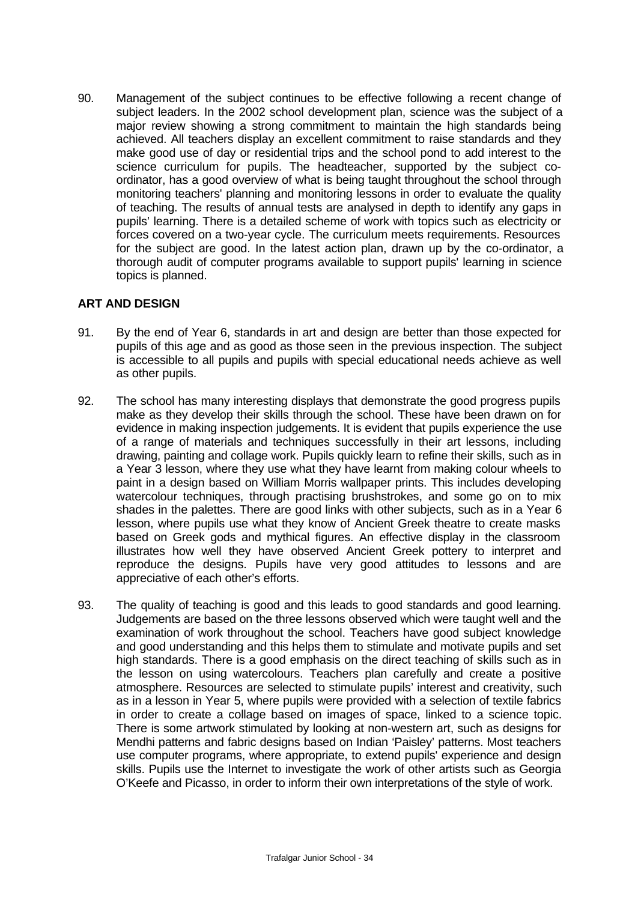90. Management of the subject continues to be effective following a recent change of subject leaders. In the 2002 school development plan, science was the subject of a major review showing a strong commitment to maintain the high standards being achieved. All teachers display an excellent commitment to raise standards and they make good use of day or residential trips and the school pond to add interest to the science curriculum for pupils. The headteacher, supported by the subject coordinator, has a good overview of what is being taught throughout the school through monitoring teachers' planning and monitoring lessons in order to evaluate the quality of teaching. The results of annual tests are analysed in depth to identify any gaps in pupils' learning. There is a detailed scheme of work with topics such as electricity or forces covered on a two-year cycle. The curriculum meets requirements. Resources for the subject are good. In the latest action plan, drawn up by the co-ordinator, a thorough audit of computer programs available to support pupils' learning in science topics is planned.

## **ART AND DESIGN**

- 91. By the end of Year 6, standards in art and design are better than those expected for pupils of this age and as good as those seen in the previous inspection. The subject is accessible to all pupils and pupils with special educational needs achieve as well as other pupils.
- 92. The school has many interesting displays that demonstrate the good progress pupils make as they develop their skills through the school. These have been drawn on for evidence in making inspection judgements. It is evident that pupils experience the use of a range of materials and techniques successfully in their art lessons, including drawing, painting and collage work. Pupils quickly learn to refine their skills, such as in a Year 3 lesson, where they use what they have learnt from making colour wheels to paint in a design based on William Morris wallpaper prints. This includes developing watercolour techniques, through practising brushstrokes, and some go on to mix shades in the palettes. There are good links with other subjects, such as in a Year 6 lesson, where pupils use what they know of Ancient Greek theatre to create masks based on Greek gods and mythical figures. An effective display in the classroom illustrates how well they have observed Ancient Greek pottery to interpret and reproduce the designs. Pupils have very good attitudes to lessons and are appreciative of each other's efforts.
- 93. The quality of teaching is good and this leads to good standards and good learning. Judgements are based on the three lessons observed which were taught well and the examination of work throughout the school. Teachers have good subject knowledge and good understanding and this helps them to stimulate and motivate pupils and set high standards. There is a good emphasis on the direct teaching of skills such as in the lesson on using watercolours. Teachers plan carefully and create a positive atmosphere. Resources are selected to stimulate pupils' interest and creativity, such as in a lesson in Year 5, where pupils were provided with a selection of textile fabrics in order to create a collage based on images of space, linked to a science topic. There is some artwork stimulated by looking at non-western art, such as designs for Mendhi patterns and fabric designs based on Indian 'Paisley' patterns. Most teachers use computer programs, where appropriate, to extend pupils' experience and design skills. Pupils use the Internet to investigate the work of other artists such as Georgia O'Keefe and Picasso, in order to inform their own interpretations of the style of work.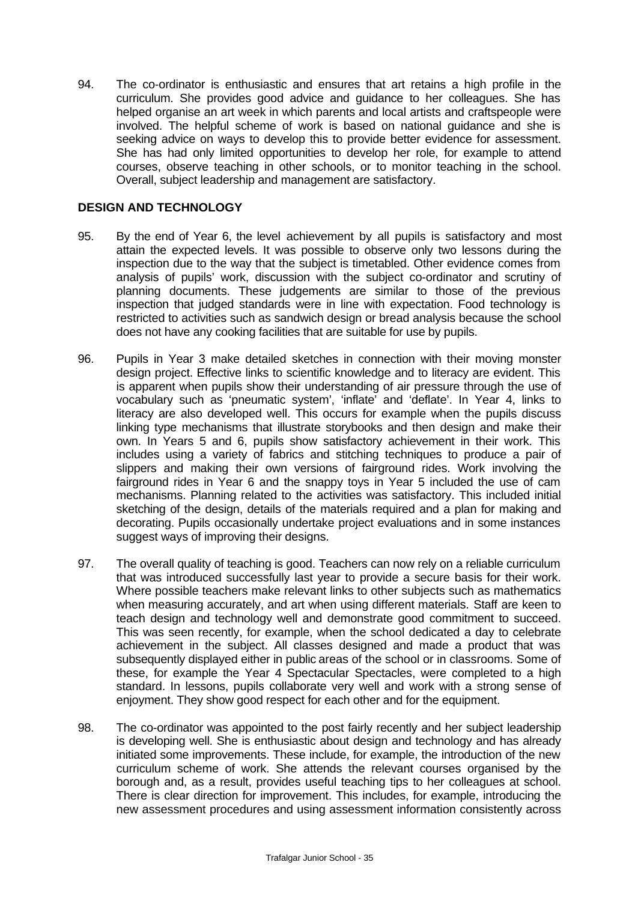94. The co-ordinator is enthusiastic and ensures that art retains a high profile in the curriculum. She provides good advice and guidance to her colleagues. She has helped organise an art week in which parents and local artists and craftspeople were involved. The helpful scheme of work is based on national guidance and she is seeking advice on ways to develop this to provide better evidence for assessment. She has had only limited opportunities to develop her role, for example to attend courses, observe teaching in other schools, or to monitor teaching in the school. Overall, subject leadership and management are satisfactory.

## **DESIGN AND TECHNOLOGY**

- 95. By the end of Year 6, the level achievement by all pupils is satisfactory and most attain the expected levels. It was possible to observe only two lessons during the inspection due to the way that the subject is timetabled. Other evidence comes from analysis of pupils' work, discussion with the subject co-ordinator and scrutiny of planning documents. These judgements are similar to those of the previous inspection that judged standards were in line with expectation. Food technology is restricted to activities such as sandwich design or bread analysis because the school does not have any cooking facilities that are suitable for use by pupils.
- 96. Pupils in Year 3 make detailed sketches in connection with their moving monster design project. Effective links to scientific knowledge and to literacy are evident. This is apparent when pupils show their understanding of air pressure through the use of vocabulary such as 'pneumatic system', 'inflate' and 'deflate'. In Year 4, links to literacy are also developed well. This occurs for example when the pupils discuss linking type mechanisms that illustrate storybooks and then design and make their own. In Years 5 and 6, pupils show satisfactory achievement in their work. This includes using a variety of fabrics and stitching techniques to produce a pair of slippers and making their own versions of fairground rides. Work involving the fairground rides in Year 6 and the snappy toys in Year 5 included the use of cam mechanisms. Planning related to the activities was satisfactory. This included initial sketching of the design, details of the materials required and a plan for making and decorating. Pupils occasionally undertake project evaluations and in some instances suggest ways of improving their designs.
- 97. The overall quality of teaching is good. Teachers can now rely on a reliable curriculum that was introduced successfully last year to provide a secure basis for their work. Where possible teachers make relevant links to other subjects such as mathematics when measuring accurately, and art when using different materials. Staff are keen to teach design and technology well and demonstrate good commitment to succeed. This was seen recently, for example, when the school dedicated a day to celebrate achievement in the subject. All classes designed and made a product that was subsequently displayed either in public areas of the school or in classrooms. Some of these, for example the Year 4 Spectacular Spectacles, were completed to a high standard. In lessons, pupils collaborate very well and work with a strong sense of enjoyment. They show good respect for each other and for the equipment.
- 98. The co-ordinator was appointed to the post fairly recently and her subject leadership is developing well. She is enthusiastic about design and technology and has already initiated some improvements. These include, for example, the introduction of the new curriculum scheme of work. She attends the relevant courses organised by the borough and, as a result, provides useful teaching tips to her colleagues at school. There is clear direction for improvement. This includes, for example, introducing the new assessment procedures and using assessment information consistently across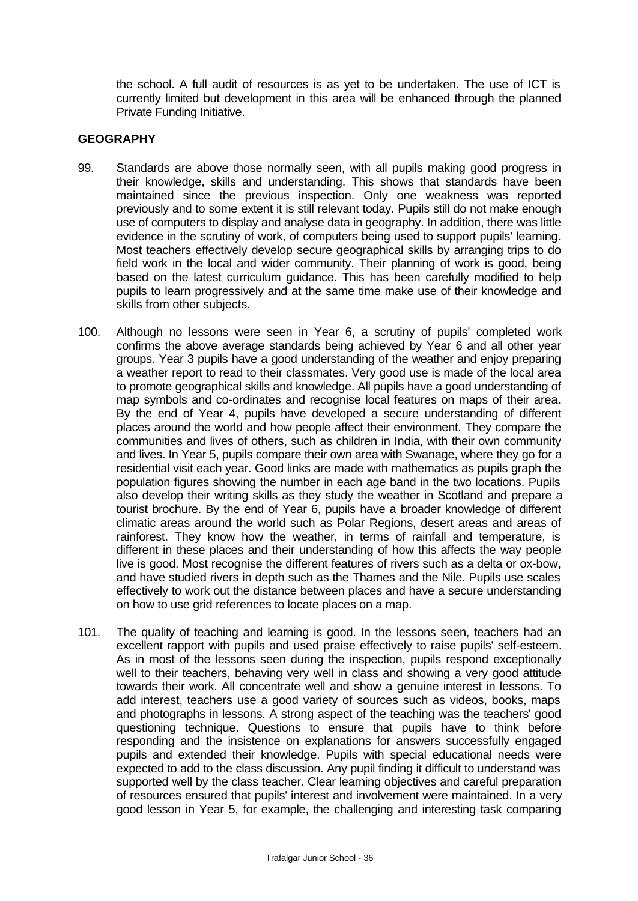the school. A full audit of resources is as yet to be undertaken. The use of ICT is currently limited but development in this area will be enhanced through the planned Private Funding Initiative.

## **GEOGRAPHY**

- 99. Standards are above those normally seen, with all pupils making good progress in their knowledge, skills and understanding. This shows that standards have been maintained since the previous inspection. Only one weakness was reported previously and to some extent it is still relevant today. Pupils still do not make enough use of computers to display and analyse data in geography. In addition, there was little evidence in the scrutiny of work, of computers being used to support pupils' learning. Most teachers effectively develop secure geographical skills by arranging trips to do field work in the local and wider community. Their planning of work is good, being based on the latest curriculum guidance. This has been carefully modified to help pupils to learn progressively and at the same time make use of their knowledge and skills from other subjects.
- 100. Although no lessons were seen in Year 6, a scrutiny of pupils' completed work confirms the above average standards being achieved by Year 6 and all other year groups. Year 3 pupils have a good understanding of the weather and enjoy preparing a weather report to read to their classmates. Very good use is made of the local area to promote geographical skills and knowledge. All pupils have a good understanding of map symbols and co-ordinates and recognise local features on maps of their area. By the end of Year 4, pupils have developed a secure understanding of different places around the world and how people affect their environment. They compare the communities and lives of others, such as children in India, with their own community and lives. In Year 5, pupils compare their own area with Swanage, where they go for a residential visit each year. Good links are made with mathematics as pupils graph the population figures showing the number in each age band in the two locations. Pupils also develop their writing skills as they study the weather in Scotland and prepare a tourist brochure. By the end of Year 6, pupils have a broader knowledge of different climatic areas around the world such as Polar Regions, desert areas and areas of rainforest. They know how the weather, in terms of rainfall and temperature, is different in these places and their understanding of how this affects the way people live is good. Most recognise the different features of rivers such as a delta or ox-bow, and have studied rivers in depth such as the Thames and the Nile. Pupils use scales effectively to work out the distance between places and have a secure understanding on how to use grid references to locate places on a map.
- 101. The quality of teaching and learning is good. In the lessons seen, teachers had an excellent rapport with pupils and used praise effectively to raise pupils' self-esteem. As in most of the lessons seen during the inspection, pupils respond exceptionally well to their teachers, behaving very well in class and showing a very good attitude towards their work. All concentrate well and show a genuine interest in lessons. To add interest, teachers use a good variety of sources such as videos, books, maps and photographs in lessons. A strong aspect of the teaching was the teachers' good questioning technique. Questions to ensure that pupils have to think before responding and the insistence on explanations for answers successfully engaged pupils and extended their knowledge. Pupils with special educational needs were expected to add to the class discussion. Any pupil finding it difficult to understand was supported well by the class teacher. Clear learning objectives and careful preparation of resources ensured that pupils' interest and involvement were maintained. In a very good lesson in Year 5, for example, the challenging and interesting task comparing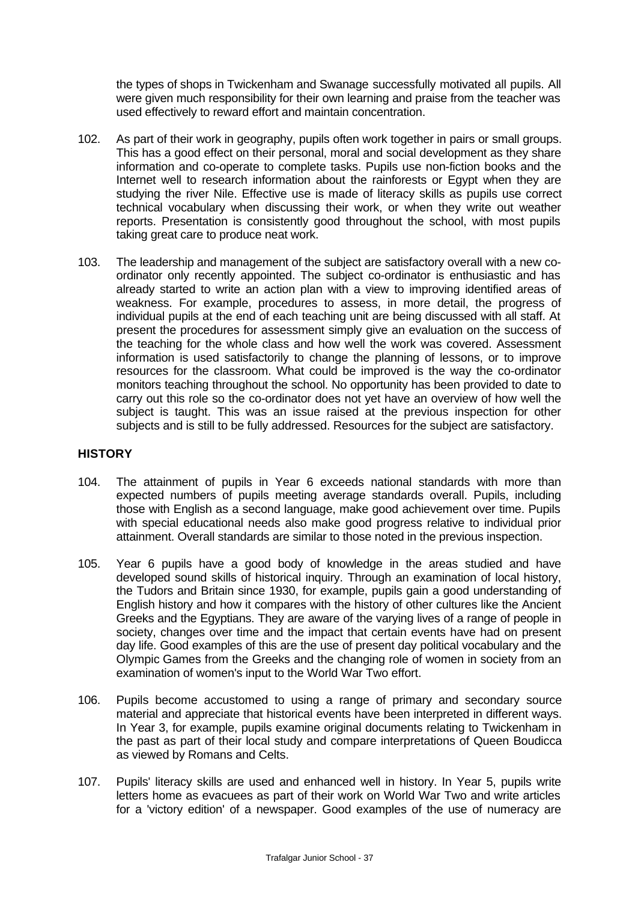the types of shops in Twickenham and Swanage successfully motivated all pupils. All were given much responsibility for their own learning and praise from the teacher was used effectively to reward effort and maintain concentration.

- 102. As part of their work in geography, pupils often work together in pairs or small groups. This has a good effect on their personal, moral and social development as they share information and co-operate to complete tasks. Pupils use non-fiction books and the Internet well to research information about the rainforests or Egypt when they are studying the river Nile. Effective use is made of literacy skills as pupils use correct technical vocabulary when discussing their work, or when they write out weather reports. Presentation is consistently good throughout the school, with most pupils taking great care to produce neat work.
- 103. The leadership and management of the subject are satisfactory overall with a new coordinator only recently appointed. The subject co-ordinator is enthusiastic and has already started to write an action plan with a view to improving identified areas of weakness. For example, procedures to assess, in more detail, the progress of individual pupils at the end of each teaching unit are being discussed with all staff. At present the procedures for assessment simply give an evaluation on the success of the teaching for the whole class and how well the work was covered. Assessment information is used satisfactorily to change the planning of lessons, or to improve resources for the classroom. What could be improved is the way the co-ordinator monitors teaching throughout the school. No opportunity has been provided to date to carry out this role so the co-ordinator does not yet have an overview of how well the subject is taught. This was an issue raised at the previous inspection for other subjects and is still to be fully addressed. Resources for the subject are satisfactory.

## **HISTORY**

- 104. The attainment of pupils in Year 6 exceeds national standards with more than expected numbers of pupils meeting average standards overall. Pupils, including those with English as a second language, make good achievement over time. Pupils with special educational needs also make good progress relative to individual prior attainment. Overall standards are similar to those noted in the previous inspection.
- 105. Year 6 pupils have a good body of knowledge in the areas studied and have developed sound skills of historical inquiry. Through an examination of local history, the Tudors and Britain since 1930, for example, pupils gain a good understanding of English history and how it compares with the history of other cultures like the Ancient Greeks and the Egyptians. They are aware of the varying lives of a range of people in society, changes over time and the impact that certain events have had on present day life. Good examples of this are the use of present day political vocabulary and the Olympic Games from the Greeks and the changing role of women in society from an examination of women's input to the World War Two effort.
- 106. Pupils become accustomed to using a range of primary and secondary source material and appreciate that historical events have been interpreted in different ways. In Year 3, for example, pupils examine original documents relating to Twickenham in the past as part of their local study and compare interpretations of Queen Boudicca as viewed by Romans and Celts.
- 107. Pupils' literacy skills are used and enhanced well in history. In Year 5, pupils write letters home as evacuees as part of their work on World War Two and write articles for a 'victory edition' of a newspaper. Good examples of the use of numeracy are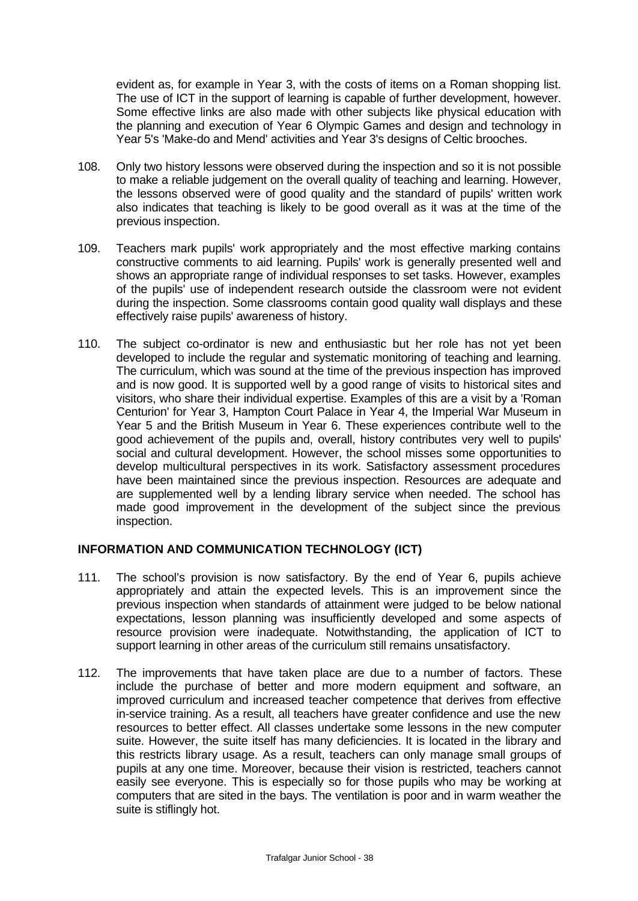evident as, for example in Year 3, with the costs of items on a Roman shopping list. The use of ICT in the support of learning is capable of further development, however. Some effective links are also made with other subjects like physical education with the planning and execution of Year 6 Olympic Games and design and technology in Year 5's 'Make-do and Mend' activities and Year 3's designs of Celtic brooches.

- 108. Only two history lessons were observed during the inspection and so it is not possible to make a reliable judgement on the overall quality of teaching and learning. However, the lessons observed were of good quality and the standard of pupils' written work also indicates that teaching is likely to be good overall as it was at the time of the previous inspection.
- 109. Teachers mark pupils' work appropriately and the most effective marking contains constructive comments to aid learning. Pupils' work is generally presented well and shows an appropriate range of individual responses to set tasks. However, examples of the pupils' use of independent research outside the classroom were not evident during the inspection. Some classrooms contain good quality wall displays and these effectively raise pupils' awareness of history.
- 110. The subject co-ordinator is new and enthusiastic but her role has not yet been developed to include the regular and systematic monitoring of teaching and learning. The curriculum, which was sound at the time of the previous inspection has improved and is now good. It is supported well by a good range of visits to historical sites and visitors, who share their individual expertise. Examples of this are a visit by a 'Roman Centurion' for Year 3, Hampton Court Palace in Year 4, the Imperial War Museum in Year 5 and the British Museum in Year 6. These experiences contribute well to the good achievement of the pupils and, overall, history contributes very well to pupils' social and cultural development. However, the school misses some opportunities to develop multicultural perspectives in its work. Satisfactory assessment procedures have been maintained since the previous inspection. Resources are adequate and are supplemented well by a lending library service when needed. The school has made good improvement in the development of the subject since the previous inspection.

# **INFORMATION AND COMMUNICATION TECHNOLOGY (ICT)**

- 111. The school's provision is now satisfactory. By the end of Year 6, pupils achieve appropriately and attain the expected levels. This is an improvement since the previous inspection when standards of attainment were judged to be below national expectations, lesson planning was insufficiently developed and some aspects of resource provision were inadequate. Notwithstanding, the application of ICT to support learning in other areas of the curriculum still remains unsatisfactory.
- 112. The improvements that have taken place are due to a number of factors. These include the purchase of better and more modern equipment and software, an improved curriculum and increased teacher competence that derives from effective in-service training. As a result, all teachers have greater confidence and use the new resources to better effect. All classes undertake some lessons in the new computer suite. However, the suite itself has many deficiencies. It is located in the library and this restricts library usage. As a result, teachers can only manage small groups of pupils at any one time. Moreover, because their vision is restricted, teachers cannot easily see everyone. This is especially so for those pupils who may be working at computers that are sited in the bays. The ventilation is poor and in warm weather the suite is stiflingly hot.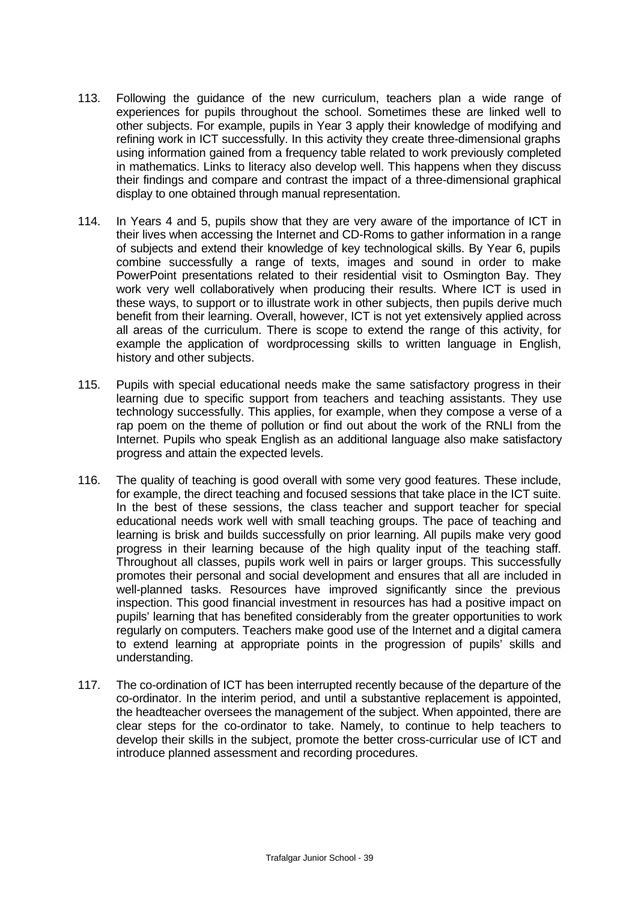- 113. Following the guidance of the new curriculum, teachers plan a wide range of experiences for pupils throughout the school. Sometimes these are linked well to other subjects. For example, pupils in Year 3 apply their knowledge of modifying and refining work in ICT successfully. In this activity they create three-dimensional graphs using information gained from a frequency table related to work previously completed in mathematics. Links to literacy also develop well. This happens when they discuss their findings and compare and contrast the impact of a three-dimensional graphical display to one obtained through manual representation.
- 114. In Years 4 and 5, pupils show that they are very aware of the importance of ICT in their lives when accessing the Internet and CD-Roms to gather information in a range of subjects and extend their knowledge of key technological skills. By Year 6, pupils combine successfully a range of texts, images and sound in order to make PowerPoint presentations related to their residential visit to Osmington Bay. They work very well collaboratively when producing their results. Where ICT is used in these ways, to support or to illustrate work in other subjects, then pupils derive much benefit from their learning. Overall, however, ICT is not yet extensively applied across all areas of the curriculum. There is scope to extend the range of this activity, for example the application of wordprocessing skills to written language in English, history and other subjects.
- 115. Pupils with special educational needs make the same satisfactory progress in their learning due to specific support from teachers and teaching assistants. They use technology successfully. This applies, for example, when they compose a verse of a rap poem on the theme of pollution or find out about the work of the RNLI from the Internet. Pupils who speak English as an additional language also make satisfactory progress and attain the expected levels.
- 116. The quality of teaching is good overall with some very good features. These include, for example, the direct teaching and focused sessions that take place in the ICT suite. In the best of these sessions, the class teacher and support teacher for special educational needs work well with small teaching groups. The pace of teaching and learning is brisk and builds successfully on prior learning. All pupils make very good progress in their learning because of the high quality input of the teaching staff. Throughout all classes, pupils work well in pairs or larger groups. This successfully promotes their personal and social development and ensures that all are included in well-planned tasks. Resources have improved significantly since the previous inspection. This good financial investment in resources has had a positive impact on pupils' learning that has benefited considerably from the greater opportunities to work regularly on computers. Teachers make good use of the Internet and a digital camera to extend learning at appropriate points in the progression of pupils' skills and understanding.
- 117. The co-ordination of ICT has been interrupted recently because of the departure of the co-ordinator. In the interim period, and until a substantive replacement is appointed, the headteacher oversees the management of the subject. When appointed, there are clear steps for the co-ordinator to take. Namely, to continue to help teachers to develop their skills in the subject, promote the better cross-curricular use of ICT and introduce planned assessment and recording procedures.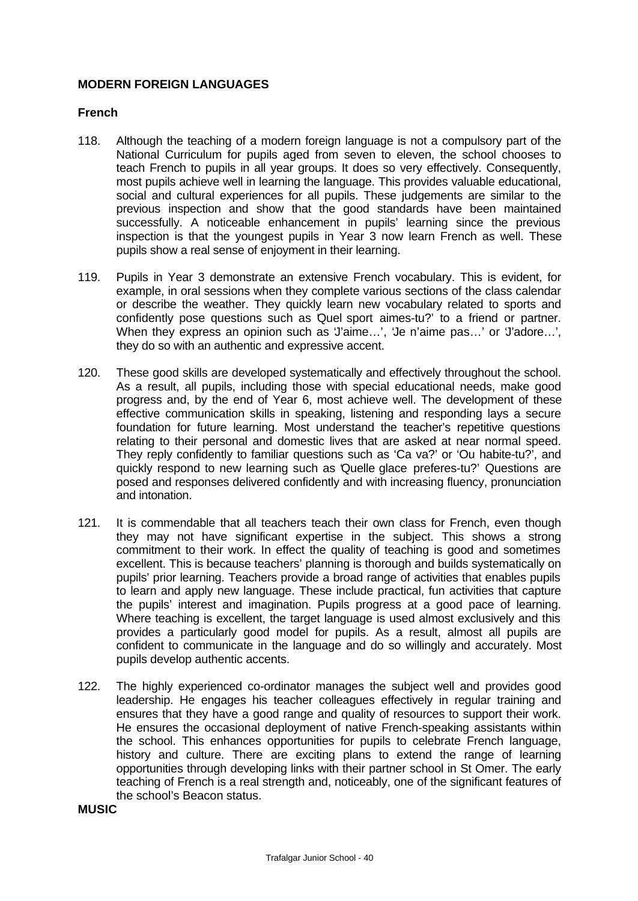## **MODERN FOREIGN LANGUAGES**

#### **French**

- 118. Although the teaching of a modern foreign language is not a compulsory part of the National Curriculum for pupils aged from seven to eleven, the school chooses to teach French to pupils in all year groups. It does so very effectively. Consequently, most pupils achieve well in learning the language. This provides valuable educational, social and cultural experiences for all pupils. These judgements are similar to the previous inspection and show that the good standards have been maintained successfully. A noticeable enhancement in pupils' learning since the previous inspection is that the youngest pupils in Year 3 now learn French as well. These pupils show a real sense of enjoyment in their learning.
- 119. Pupils in Year 3 demonstrate an extensive French vocabulary. This is evident, for example, in oral sessions when they complete various sections of the class calendar or describe the weather. They quickly learn new vocabulary related to sports and confidently pose questions such as Quel sport aimes-tu?' to a friend or partner. When they express an opinion such as 'J'aime…', 'Je n'aime pas…' or 'J'adore…', they do so with an authentic and expressive accent.
- 120. These good skills are developed systematically and effectively throughout the school. As a result, all pupils, including those with special educational needs, make good progress and, by the end of Year 6, most achieve well. The development of these effective communication skills in speaking, listening and responding lays a secure foundation for future learning. Most understand the teacher's repetitive questions relating to their personal and domestic lives that are asked at near normal speed. They reply confidently to familiar questions such as 'Ca va?' or 'Ou habite-tu?', and quickly respond to new learning such as 'Quelle glace preferes-tu?' Questions are posed and responses delivered confidently and with increasing fluency, pronunciation and intonation.
- 121. It is commendable that all teachers teach their own class for French, even though they may not have significant expertise in the subject. This shows a strong commitment to their work. In effect the quality of teaching is good and sometimes excellent. This is because teachers' planning is thorough and builds systematically on pupils' prior learning. Teachers provide a broad range of activities that enables pupils to learn and apply new language. These include practical, fun activities that capture the pupils' interest and imagination. Pupils progress at a good pace of learning. Where teaching is excellent, the target language is used almost exclusively and this provides a particularly good model for pupils. As a result, almost all pupils are confident to communicate in the language and do so willingly and accurately. Most pupils develop authentic accents.
- 122. The highly experienced co-ordinator manages the subject well and provides good leadership. He engages his teacher colleagues effectively in regular training and ensures that they have a good range and quality of resources to support their work. He ensures the occasional deployment of native French-speaking assistants within the school. This enhances opportunities for pupils to celebrate French language, history and culture. There are exciting plans to extend the range of learning opportunities through developing links with their partner school in St Omer. The early teaching of French is a real strength and, noticeably, one of the significant features of the school's Beacon status.

**MUSIC**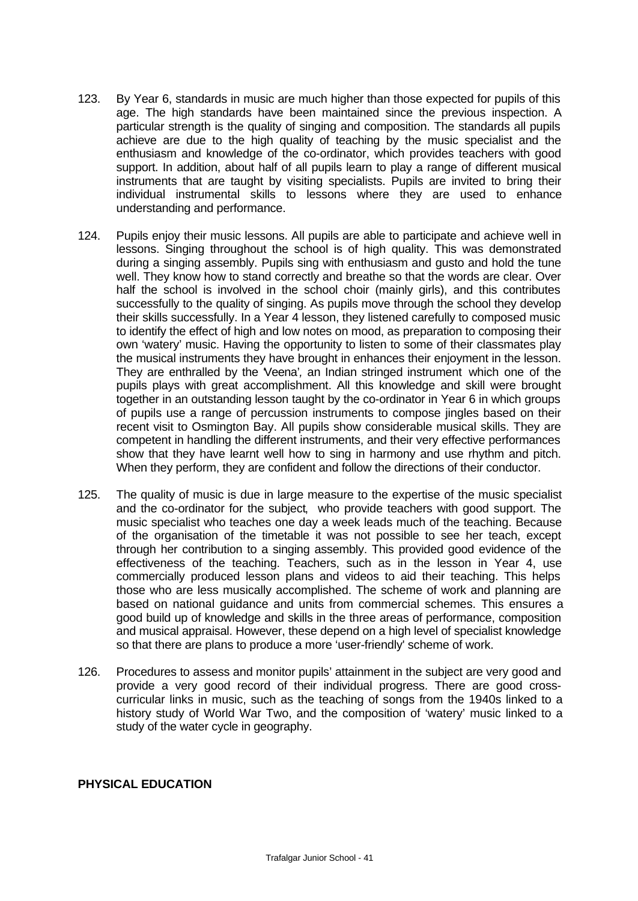- 123. By Year 6, standards in music are much higher than those expected for pupils of this age. The high standards have been maintained since the previous inspection. A particular strength is the quality of singing and composition. The standards all pupils achieve are due to the high quality of teaching by the music specialist and the enthusiasm and knowledge of the co-ordinator, which provides teachers with good support. In addition, about half of all pupils learn to play a range of different musical instruments that are taught by visiting specialists. Pupils are invited to bring their individual instrumental skills to lessons where they are used to enhance understanding and performance.
- 124. Pupils enjoy their music lessons. All pupils are able to participate and achieve well in lessons. Singing throughout the school is of high quality. This was demonstrated during a singing assembly. Pupils sing with enthusiasm and gusto and hold the tune well. They know how to stand correctly and breathe so that the words are clear. Over half the school is involved in the school choir (mainly girls), and this contributes successfully to the quality of singing. As pupils move through the school they develop their skills successfully. In a Year 4 lesson, they listened carefully to composed music to identify the effect of high and low notes on mood, as preparation to composing their own 'watery' music. Having the opportunity to listen to some of their classmates play the musical instruments they have brought in enhances their enjoyment in the lesson. They are enthralled by the 'Veena'*,* an Indian stringed instrument which one of the pupils plays with great accomplishment. All this knowledge and skill were brought together in an outstanding lesson taught by the co-ordinator in Year 6 in which groups of pupils use a range of percussion instruments to compose jingles based on their recent visit to Osmington Bay. All pupils show considerable musical skills. They are competent in handling the different instruments, and their very effective performances show that they have learnt well how to sing in harmony and use rhythm and pitch. When they perform, they are confident and follow the directions of their conductor.
- 125. The quality of music is due in large measure to the expertise of the music specialist and the co-ordinator for the subject, who provide teachers with good support. The music specialist who teaches one day a week leads much of the teaching. Because of the organisation of the timetable it was not possible to see her teach, except through her contribution to a singing assembly. This provided good evidence of the effectiveness of the teaching. Teachers, such as in the lesson in Year 4, use commercially produced lesson plans and videos to aid their teaching. This helps those who are less musically accomplished. The scheme of work and planning are based on national guidance and units from commercial schemes. This ensures a good build up of knowledge and skills in the three areas of performance, composition and musical appraisal. However, these depend on a high level of specialist knowledge so that there are plans to produce a more 'user-friendly' scheme of work.
- 126. Procedures to assess and monitor pupils' attainment in the subject are very good and provide a very good record of their individual progress. There are good crosscurricular links in music, such as the teaching of songs from the 1940s linked to a history study of World War Two, and the composition of 'watery' music linked to a study of the water cycle in geography.

#### **PHYSICAL EDUCATION**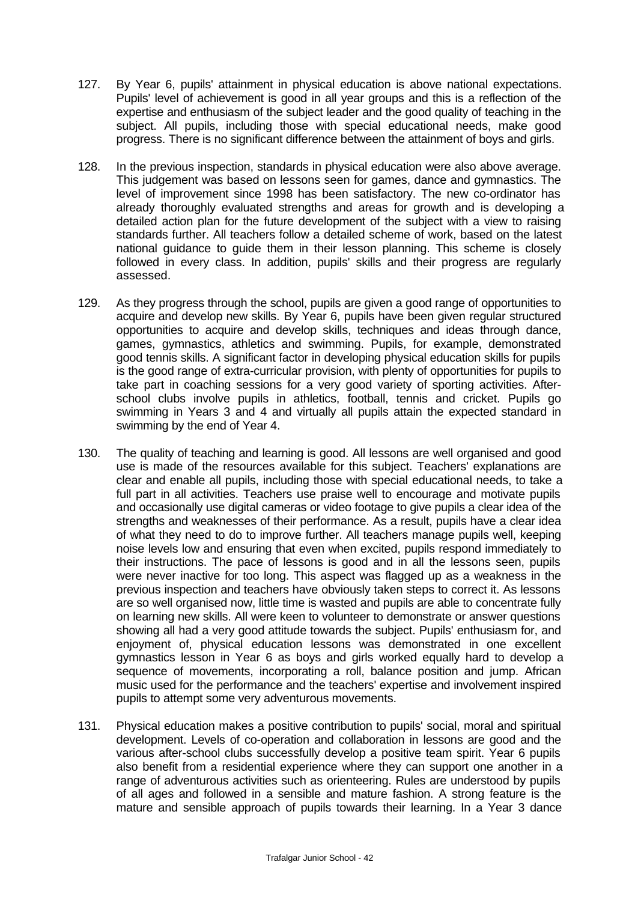- 127. By Year 6, pupils' attainment in physical education is above national expectations. Pupils' level of achievement is good in all year groups and this is a reflection of the expertise and enthusiasm of the subject leader and the good quality of teaching in the subject. All pupils, including those with special educational needs, make good progress. There is no significant difference between the attainment of boys and girls.
- 128. In the previous inspection, standards in physical education were also above average. This judgement was based on lessons seen for games, dance and gymnastics. The level of improvement since 1998 has been satisfactory. The new co-ordinator has already thoroughly evaluated strengths and areas for growth and is developing a detailed action plan for the future development of the subject with a view to raising standards further. All teachers follow a detailed scheme of work, based on the latest national guidance to guide them in their lesson planning. This scheme is closely followed in every class. In addition, pupils' skills and their progress are regularly assessed.
- 129. As they progress through the school, pupils are given a good range of opportunities to acquire and develop new skills. By Year 6, pupils have been given regular structured opportunities to acquire and develop skills, techniques and ideas through dance, games, gymnastics, athletics and swimming. Pupils, for example, demonstrated good tennis skills. A significant factor in developing physical education skills for pupils is the good range of extra-curricular provision, with plenty of opportunities for pupils to take part in coaching sessions for a very good variety of sporting activities. Afterschool clubs involve pupils in athletics, football, tennis and cricket. Pupils go swimming in Years 3 and 4 and virtually all pupils attain the expected standard in swimming by the end of Year 4.
- 130. The quality of teaching and learning is good. All lessons are well organised and good use is made of the resources available for this subject. Teachers' explanations are clear and enable all pupils, including those with special educational needs, to take a full part in all activities. Teachers use praise well to encourage and motivate pupils and occasionally use digital cameras or video footage to give pupils a clear idea of the strengths and weaknesses of their performance. As a result, pupils have a clear idea of what they need to do to improve further. All teachers manage pupils well, keeping noise levels low and ensuring that even when excited, pupils respond immediately to their instructions. The pace of lessons is good and in all the lessons seen, pupils were never inactive for too long. This aspect was flagged up as a weakness in the previous inspection and teachers have obviously taken steps to correct it. As lessons are so well organised now, little time is wasted and pupils are able to concentrate fully on learning new skills. All were keen to volunteer to demonstrate or answer questions showing all had a very good attitude towards the subject. Pupils' enthusiasm for, and enjoyment of, physical education lessons was demonstrated in one excellent gymnastics lesson in Year 6 as boys and girls worked equally hard to develop a sequence of movements, incorporating a roll, balance position and jump. African music used for the performance and the teachers' expertise and involvement inspired pupils to attempt some very adventurous movements.
- 131. Physical education makes a positive contribution to pupils' social, moral and spiritual development. Levels of co-operation and collaboration in lessons are good and the various after-school clubs successfully develop a positive team spirit. Year 6 pupils also benefit from a residential experience where they can support one another in a range of adventurous activities such as orienteering. Rules are understood by pupils of all ages and followed in a sensible and mature fashion. A strong feature is the mature and sensible approach of pupils towards their learning. In a Year 3 dance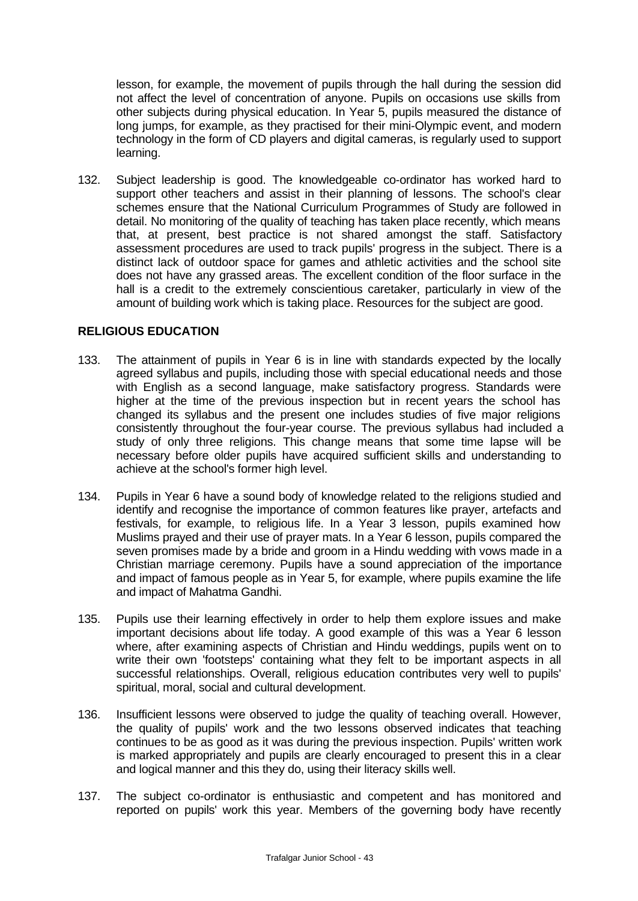lesson, for example, the movement of pupils through the hall during the session did not affect the level of concentration of anyone. Pupils on occasions use skills from other subjects during physical education. In Year 5, pupils measured the distance of long jumps, for example, as they practised for their mini-Olympic event, and modern technology in the form of CD players and digital cameras, is regularly used to support learning.

132. Subject leadership is good. The knowledgeable co-ordinator has worked hard to support other teachers and assist in their planning of lessons. The school's clear schemes ensure that the National Curriculum Programmes of Study are followed in detail. No monitoring of the quality of teaching has taken place recently, which means that, at present, best practice is not shared amongst the staff. Satisfactory assessment procedures are used to track pupils' progress in the subject. There is a distinct lack of outdoor space for games and athletic activities and the school site does not have any grassed areas. The excellent condition of the floor surface in the hall is a credit to the extremely conscientious caretaker, particularly in view of the amount of building work which is taking place. Resources for the subject are good.

# **RELIGIOUS EDUCATION**

- 133. The attainment of pupils in Year 6 is in line with standards expected by the locally agreed syllabus and pupils, including those with special educational needs and those with English as a second language, make satisfactory progress. Standards were higher at the time of the previous inspection but in recent years the school has changed its syllabus and the present one includes studies of five major religions consistently throughout the four-year course. The previous syllabus had included a study of only three religions. This change means that some time lapse will be necessary before older pupils have acquired sufficient skills and understanding to achieve at the school's former high level.
- 134. Pupils in Year 6 have a sound body of knowledge related to the religions studied and identify and recognise the importance of common features like prayer, artefacts and festivals, for example, to religious life. In a Year 3 lesson, pupils examined how Muslims prayed and their use of prayer mats. In a Year 6 lesson, pupils compared the seven promises made by a bride and groom in a Hindu wedding with vows made in a Christian marriage ceremony. Pupils have a sound appreciation of the importance and impact of famous people as in Year 5, for example, where pupils examine the life and impact of Mahatma Gandhi.
- 135. Pupils use their learning effectively in order to help them explore issues and make important decisions about life today. A good example of this was a Year 6 lesson where, after examining aspects of Christian and Hindu weddings, pupils went on to write their own 'footsteps' containing what they felt to be important aspects in all successful relationships. Overall, religious education contributes very well to pupils' spiritual, moral, social and cultural development.
- 136. Insufficient lessons were observed to judge the quality of teaching overall. However, the quality of pupils' work and the two lessons observed indicates that teaching continues to be as good as it was during the previous inspection. Pupils' written work is marked appropriately and pupils are clearly encouraged to present this in a clear and logical manner and this they do, using their literacy skills well.
- 137. The subject co-ordinator is enthusiastic and competent and has monitored and reported on pupils' work this year. Members of the governing body have recently